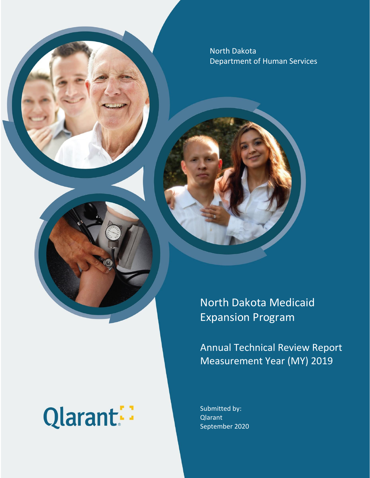North Dakota Department of Human Services

# Qlarant:

North Dakota Medicaid Expansion Program

Annual Technical Review Report Measurement Year (MY) 2019

Submitted by: Qlarant September 2020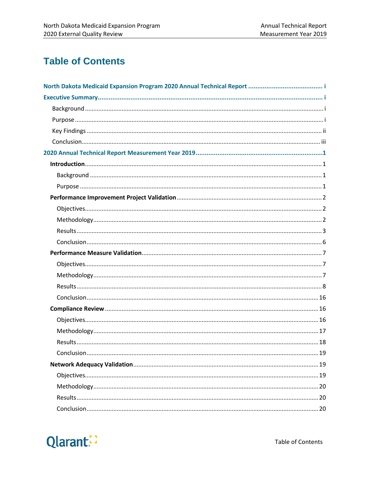## **Table of Contents**

| $\dots$ 19 |
|------------|
|            |
|            |
|            |
|            |
|            |

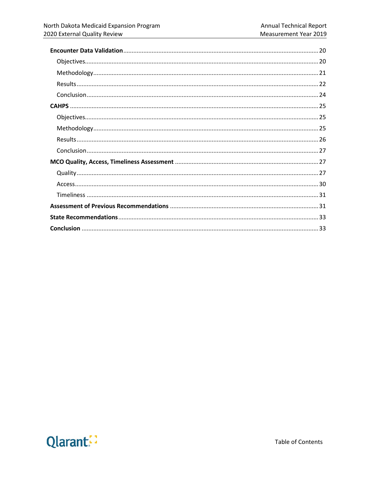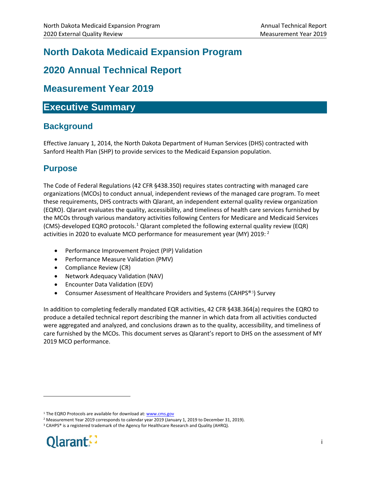## <span id="page-3-0"></span>**North Dakota Medicaid Expansion Program**

## <span id="page-3-1"></span>**2020 Annual Technical Report**

## **Measurement Year 2019**

## <span id="page-3-2"></span>**Executive Summary**

## <span id="page-3-3"></span>**Background**

Effective January 1, 2014, the North Dakota Department of Human Services (DHS) contracted with Sanford Health Plan (SHP) to provide services to the Medicaid Expansion population.

## <span id="page-3-4"></span>**Purpose**

The Code of Federal Regulations (42 CFR §438.350) requires states contracting with managed care organizations (MCOs) to conduct annual, independent reviews of the managed care program. To meet these requirements, DHS contracts with Qlarant, an independent external quality review organization (EQRO). Qlarant evaluates the quality, accessibility, and timeliness of health care services furnished by the MCOs through various mandatory activities following Centers for Medicare and Medicaid Services (CMS)-developed EQRO protocols. [1](#page-3-5) Qlarant completed the following external quality review (EQR) activities in [2](#page-3-6)020 to evaluate MCO performance for measurement year (MY) 2019:  $2$ 

- Performance Improvement Project (PIP) Validation
- Performance Measure Validation (PMV)
- Compliance Review (CR)
- Network Adequacy Validation (NAV)
- Encounter Data Validation (EDV)
- Consumer Assessment of Healthcare Providers and Systems (CAHPS®[3](#page-3-7)) Survey

In addition to completing federally mandated EQR activities, 42 CFR §438.364(a) requires the EQRO to produce a detailed technical report describing the manner in which data from all activities conducted were aggregated and analyzed, and conclusions drawn as to the quality, accessibility, and timeliness of care furnished by the MCOs. This document serves as Qlarant's report to DHS on the assessment of MY 2019 MCO performance.



<span id="page-3-5"></span> $\overline{a}$ 

<span id="page-3-7"></span><span id="page-3-6"></span><sup>&</sup>lt;sup>1</sup> The EQRO Protocols are available for download at: **www.cms.gov** 

<sup>&</sup>lt;sup>2</sup> Measurement Year 2019 corresponds to calendar year 2019 (January 1, 2019 to December 31, 2019). <sup>3</sup> CAHPS<sup>®</sup> is a registered trademark of the Agency for Healthcare Research and Quality (AHRQ).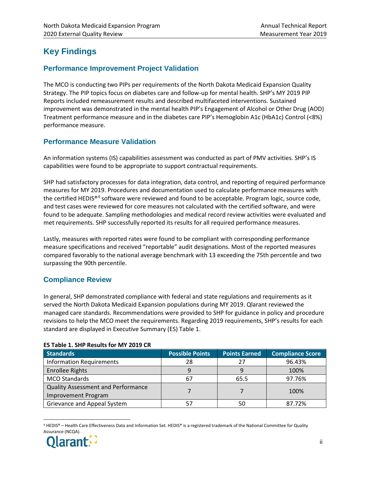## <span id="page-4-0"></span>**Key Findings**

#### **Performance Improvement Project Validation**

The MCO is conducting two PIPs per requirements of the North Dakota Medicaid Expansion Quality Strategy. The PIP topics focus on diabetes care and follow-up for mental health. SHP's MY 2019 PIP Reports included remeasurement results and described multifaceted interventions. Sustained improvement was demonstrated in the mental health PIP's Engagement of Alcohol or Other Drug (AOD) Treatment performance measure and in the diabetes care PIP's Hemoglobin A1c (HbA1c) Control (<8%) performance measure.

#### **Performance Measure Validation**

An information systems (IS) capabilities assessment was conducted as part of PMV activities. SHP's IS capabilities were found to be appropriate to support contractual requirements.

SHP had satisfactory processes for data integration, data control, and reporting of required performance measures for MY 2019. Procedures and documentation used to calculate performance measures with the certified HEDIS®[4](#page-4-1) software were reviewed and found to be acceptable. Program logic, source code, and test cases were reviewed for core measures not calculated with the certified software, and were found to be adequate. Sampling methodologies and medical record review activities were evaluated and met requirements. SHP successfully reported its results for all required performance measures.

Lastly, measures with reported rates were found to be compliant with corresponding performance measure specifications and received "reportable" audit designations. Most of the reported measures compared favorably to the national average benchmark with 13 exceeding the 75th percentile and two surpassing the 90th percentile.

#### **Compliance Review**

In general, SHP demonstrated compliance with federal and state regulations and requirements as it served the North Dakota Medicaid Expansion populations during MY 2019. Qlarant reviewed the managed care standards. Recommendations were provided to SHP for guidance in policy and procedure revisions to help the MCO meet the requirements. Regarding 2019 requirements, SHP's results for each standard are displayed in Executive Summary (ES) Table 1.

| <b>Standards</b>                          | <b>Possible Points</b> | <b>Points Earned</b> | <b>Compliance Score</b> |
|-------------------------------------------|------------------------|----------------------|-------------------------|
| <b>Information Requirements</b>           | 28                     | 27                   | 96.43%                  |
| <b>Enrollee Rights</b>                    |                        |                      | 100%                    |
| <b>MCO Standards</b>                      | 67                     | 65.5                 | 97.76%                  |
| <b>Quality Assessment and Performance</b> |                        |                      | 100%                    |
| <b>Improvement Program</b>                |                        |                      |                         |
| Grievance and Appeal System               |                        | 50                   | 87.72%                  |

#### **ES Table 1. SHP Results for MY 2019 CR**

<span id="page-4-1"></span> <sup>4</sup> HEDIS® – Health Care Effectiveness Data and Information Set. HEDIS® is a registered trademark of the National Committee for Quality Assurance (NCQA).

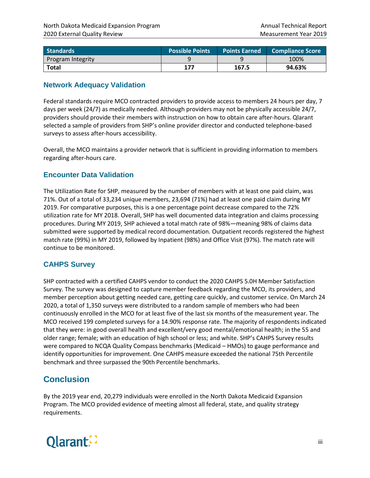| l Standards \     | <b>Possible Points</b> |       | <b>Points Earned Compliance Score</b> |
|-------------------|------------------------|-------|---------------------------------------|
| Program Integrity |                        |       | 100%                                  |
| <b>Total</b>      | 177                    | 167.5 | 94.63%                                |

#### **Network Adequacy Validation**

Federal standards require MCO contracted providers to provide access to members 24 hours per day, 7 days per week (24/7) as medically needed. Although providers may not be physically accessible 24/7, providers should provide their members with instruction on how to obtain care after-hours. Qlarant selected a sample of providers from SHP's online provider director and conducted telephone-based surveys to assess after-hours accessibility.

Overall, the MCO maintains a provider network that is sufficient in providing information to members regarding after-hours care.

#### **Encounter Data Validation**

The Utilization Rate for SHP, measured by the number of members with at least one paid claim, was 71%. Out of a total of 33,234 unique members, 23,694 (71%) had at least one paid claim during MY 2019. For comparative purposes, this is a one percentage point decrease compared to the 72% utilization rate for MY 2018. Overall, SHP has well documented data integration and claims processing procedures. During MY 2019, SHP achieved a total match rate of 98%—meaning 98% of claims data submitted were supported by medical record documentation. Outpatient records registered the highest match rate (99%) in MY 2019, followed by Inpatient (98%) and Office Visit (97%). The match rate will continue to be monitored.

#### **CAHPS Survey**

SHP contracted with a certified CAHPS vendor to conduct the 2020 CAHPS 5.0H Member Satisfaction Survey. The survey was designed to capture member feedback regarding the MCO, its providers, and member perception about getting needed care, getting care quickly, and customer service. On March 24 2020, a total of 1,350 surveys were distributed to a random sample of members who had been continuously enrolled in the MCO for at least five of the last six months of the measurement year. The MCO received 199 completed surveys for a 14.90% response rate. The majority of respondents indicated that they were: in good overall health and excellent/very good mental/emotional health; in the 55 and older range; female; with an education of high school or less; and white. SHP's CAHPS Survey results were compared to NCQA Quality Compass benchmarks (Medicaid – HMOs) to gauge performance and identify opportunities for improvement. One CAHPS measure exceeded the national 75th Percentile benchmark and three surpassed the 90th Percentile benchmarks.

## <span id="page-5-0"></span>**Conclusion**

By the 2019 year end, 20,279 individuals were enrolled in the North Dakota Medicaid Expansion Program. The MCO provided evidence of meeting almost all federal, state, and quality strategy requirements.

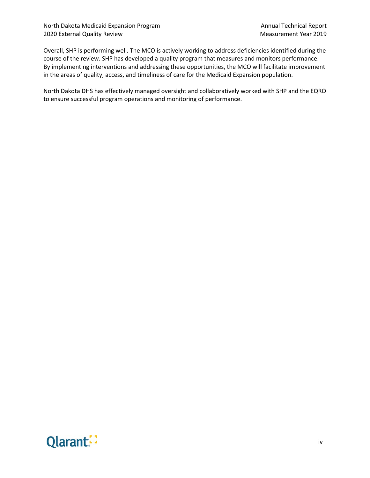Overall, SHP is performing well. The MCO is actively working to address deficiencies identified during the course of the review. SHP has developed a quality program that measures and monitors performance. By implementing interventions and addressing these opportunities, the MCO will facilitate improvement in the areas of quality, access, and timeliness of care for the Medicaid Expansion population.

North Dakota DHS has effectively managed oversight and collaboratively worked with SHP and the EQRO to ensure successful program operations and monitoring of performance.

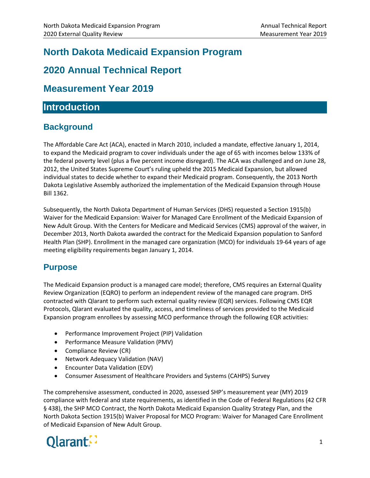## **North Dakota Medicaid Expansion Program**

## <span id="page-7-0"></span>**2020 Annual Technical Report**

## <span id="page-7-1"></span>**Measurement Year 2019**

## <span id="page-7-2"></span>**Introduction**

## <span id="page-7-3"></span>**Background**

The Affordable Care Act (ACA), enacted in March 2010, included a mandate, effective January 1, 2014, to expand the Medicaid program to cover individuals under the age of 65 with incomes below 133% of the federal poverty level (plus a five percent income disregard). The ACA was challenged and on June 28, 2012, the United States Supreme Court's ruling upheld the 2015 Medicaid Expansion, but allowed individual states to decide whether to expand their Medicaid program. Consequently, the 2013 North Dakota Legislative Assembly authorized the implementation of the Medicaid Expansion through House Bill 1362.

Subsequently, the North Dakota Department of Human Services (DHS) requested a Section 1915(b) Waiver for the Medicaid Expansion: Waiver for Managed Care Enrollment of the Medicaid Expansion of New Adult Group. With the Centers for Medicare and Medicaid Services (CMS) approval of the waiver, in December 2013, North Dakota awarded the contract for the Medicaid Expansion population to Sanford Health Plan (SHP). Enrollment in the managed care organization (MCO) for individuals 19-64 years of age meeting eligibility requirements began January 1, 2014.

## <span id="page-7-4"></span>**Purpose**

The Medicaid Expansion product is a managed care model; therefore, CMS requires an External Quality Review Organization (EQRO) to perform an independent review of the managed care program. DHS contracted with Qlarant to perform such external quality review (EQR) services. Following CMS EQR Protocols, Qlarant evaluated the quality, access, and timeliness of services provided to the Medicaid Expansion program enrollees by assessing MCO performance through the following EQR activities:

- Performance Improvement Project (PIP) Validation
- Performance Measure Validation (PMV)
- Compliance Review (CR)
- Network Adequacy Validation (NAV)
- Encounter Data Validation (EDV)
- Consumer Assessment of Healthcare Providers and Systems (CAHPS) Survey

The comprehensive assessment, conducted in 2020, assessed SHP's measurement year (MY) 2019 compliance with federal and state requirements, as identified in the Code of Federal Regulations (42 CFR § 438), the SHP MCO Contract, the North Dakota Medicaid Expansion Quality Strategy Plan, and the North Dakota Section 1915(b) Waiver Proposal for MCO Program: Waiver for Managed Care Enrollment of Medicaid Expansion of New Adult Group.

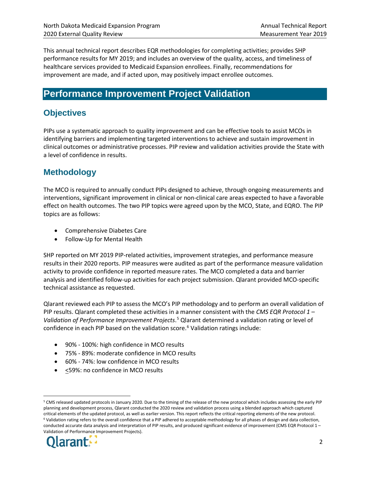This annual technical report describes EQR methodologies for completing activities; provides SHP performance results for MY 2019; and includes an overview of the quality, access, and timeliness of healthcare services provided to Medicaid Expansion enrollees. Finally, recommendations for improvement are made, and if acted upon, may positively impact enrollee outcomes.

## <span id="page-8-0"></span>**Performance Improvement Project Validation**

## <span id="page-8-1"></span>**Objectives**

PIPs use a systematic approach to quality improvement and can be effective tools to assist MCOs in identifying barriers and implementing targeted interventions to achieve and sustain improvement in clinical outcomes or administrative processes. PIP review and validation activities provide the State with a level of confidence in results.

## <span id="page-8-2"></span>**Methodology**

The MCO is required to annually conduct PIPs designed to achieve, through ongoing measurements and interventions, significant improvement in clinical or non-clinical care areas expected to have a favorable effect on health outcomes. The two PIP topics were agreed upon by the MCO, State, and EQRO. The PIP topics are as follows:

- Comprehensive Diabetes Care
- Follow-Up for Mental Health

SHP reported on MY 2019 PIP-related activities, improvement strategies, and performance measure results in their 2020 reports. PIP measures were audited as part of the performance measure validation activity to provide confidence in reported measure rates. The MCO completed a data and barrier analysis and identified follow-up activities for each project submission. Qlarant provided MCO-specific technical assistance as requested.

Qlarant reviewed each PIP to assess the MCO's PIP methodology and to perform an overall validation of PIP results. Qlarant completed these activities in a manner consistent with the *CMS EQR Protocol 1 – Validation of Performance Improvement Projects*. [5](#page-8-3) Qlarant determined a validation rating or level of confidence in each PIP based on the validation score.<sup>[6](#page-8-4)</sup> Validation ratings include:

- 90% 100%: high confidence in MCO results
- 75% 89%: moderate confidence in MCO results
- 60% 74%: low confidence in MCO results
- $\bullet$   $\leq$ 59%: no confidence in MCO results

<span id="page-8-4"></span><span id="page-8-3"></span> <sup>5</sup> CMS released updated protocols in January 2020. Due to the timing of the release of the new protocol which includes assessing the early PIP planning and development process, Qlarant conducted the 2020 review and validation process using a blended approach which captured critical elements of the updated protocol, as well as earlier version. This report reflects the critical reporting elements of the new protocol.<br><sup>6</sup> Validation rating refers to the overall confidence that a PIP adhered to conducted accurate data analysis and interpretation of PIP results, and produced significant evidence of improvement (CMS EQR Protocol 1 -Validation of Performance Improvement Projects).

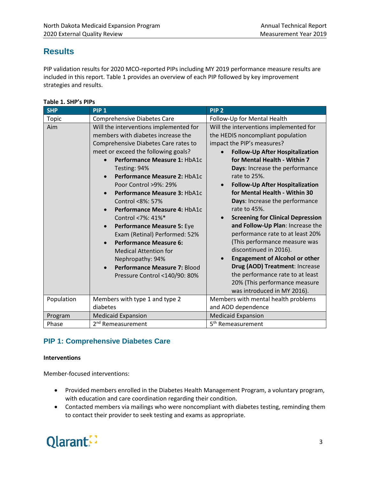## <span id="page-9-0"></span>**Results**

PIP validation results for 2020 MCO-reported PIPs including MY 2019 performance measure results are included in this report. Table 1 provides an overview of each PIP followed by key improvement strategies and results.

| <b>SHP</b> | <b>PIP 1</b>                                                                                                                                                                                                                                                                                                                                                                                                                                                                                                                                                                                                                                                        | PIP <sub>2</sub>                                                                                                                                                                                                                                                                                                                                                                                                                                                                                                                                                                                                                                                                                                                                                        |
|------------|---------------------------------------------------------------------------------------------------------------------------------------------------------------------------------------------------------------------------------------------------------------------------------------------------------------------------------------------------------------------------------------------------------------------------------------------------------------------------------------------------------------------------------------------------------------------------------------------------------------------------------------------------------------------|-------------------------------------------------------------------------------------------------------------------------------------------------------------------------------------------------------------------------------------------------------------------------------------------------------------------------------------------------------------------------------------------------------------------------------------------------------------------------------------------------------------------------------------------------------------------------------------------------------------------------------------------------------------------------------------------------------------------------------------------------------------------------|
| Topic      | <b>Comprehensive Diabetes Care</b>                                                                                                                                                                                                                                                                                                                                                                                                                                                                                                                                                                                                                                  | Follow-Up for Mental Health                                                                                                                                                                                                                                                                                                                                                                                                                                                                                                                                                                                                                                                                                                                                             |
| Aim        | Will the interventions implemented for<br>members with diabetes increase the<br>Comprehensive Diabetes Care rates to<br>meet or exceed the following goals?<br>Performance Measure 1: HbA1c<br>Testing: 94%<br>Performance Measure 2: HbA1c<br>$\bullet$<br>Poor Control >9%: 29%<br>Performance Measure 3: HbA1c<br>$\bullet$<br>Control <8%: 57%<br>Performance Measure 4: HbA1c<br>Control <7%: 41%*<br>Performance Measure 5: Eye<br>$\bullet$<br>Exam (Retinal) Performed: 52%<br><b>Performance Measure 6:</b><br>$\bullet$<br><b>Medical Attention for</b><br>Nephropathy: 94%<br>Performance Measure 7: Blood<br>$\bullet$<br>Pressure Control <140/90: 80% | Will the interventions implemented for<br>the HEDIS noncompliant population<br>impact the PIP's measures?<br><b>Follow-Up After Hospitalization</b><br>for Mental Health - Within 7<br>Days: Increase the performance<br>rate to 25%.<br><b>Follow-Up After Hospitalization</b><br>$\bullet$<br>for Mental Health - Within 30<br>Days: Increase the performance<br>rate to 45%.<br><b>Screening for Clinical Depression</b><br>$\bullet$<br>and Follow-Up Plan: Increase the<br>performance rate to at least 20%<br>(This performance measure was<br>discontinued in 2016).<br><b>Engagement of Alcohol or other</b><br>$\bullet$<br>Drug (AOD) Treatment: Increase<br>the performance rate to at least<br>20% (This performance measure<br>was introduced in MY 2016). |
| Population | Members with type 1 and type 2                                                                                                                                                                                                                                                                                                                                                                                                                                                                                                                                                                                                                                      | Members with mental health problems                                                                                                                                                                                                                                                                                                                                                                                                                                                                                                                                                                                                                                                                                                                                     |
|            | diabetes                                                                                                                                                                                                                                                                                                                                                                                                                                                                                                                                                                                                                                                            | and AOD dependence                                                                                                                                                                                                                                                                                                                                                                                                                                                                                                                                                                                                                                                                                                                                                      |
| Program    | <b>Medicaid Expansion</b>                                                                                                                                                                                                                                                                                                                                                                                                                                                                                                                                                                                                                                           | <b>Medicaid Expansion</b>                                                                                                                                                                                                                                                                                                                                                                                                                                                                                                                                                                                                                                                                                                                                               |
| Phase      | 2 <sup>nd</sup> Remeasurement                                                                                                                                                                                                                                                                                                                                                                                                                                                                                                                                                                                                                                       | 5 <sup>th</sup> Remeasurement                                                                                                                                                                                                                                                                                                                                                                                                                                                                                                                                                                                                                                                                                                                                           |

#### **PIP 1: Comprehensive Diabetes Care**

#### **Interventions**

Member-focused interventions:

- Provided members enrolled in the Diabetes Health Management Program, a voluntary program, with education and care coordination regarding their condition.
- Contacted members via mailings who were noncompliant with diabetes testing, reminding them to contact their provider to seek testing and exams as appropriate.

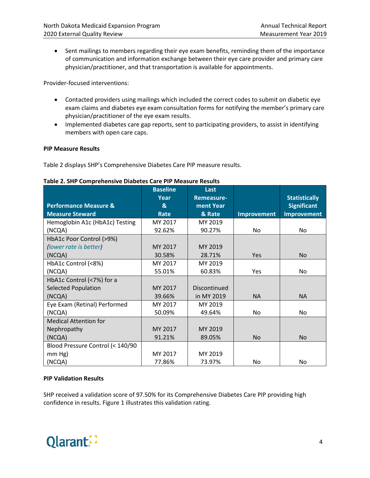• Sent mailings to members regarding their eye exam benefits, reminding them of the importance of communication and information exchange between their eye care provider and primary care physician/practitioner, and that transportation is available for appointments.

Provider-focused interventions:

- Contacted providers using mailings which included the correct codes to submit on diabetic eye exam claims and diabetes eye exam consultation forms for notifying the member's primary care physician/practitioner of the eye exam results.
- Implemented diabetes care gap reports, sent to participating providers, to assist in identifying members with open care caps.

#### **PIP Measure Results**

Table 2 displays SHP's Comprehensive Diabetes Care PIP measure results.

|                                  | <b>Baseline</b> | Last         |             |                      |
|----------------------------------|-----------------|--------------|-------------|----------------------|
|                                  | Year            | Remeasure-   |             | <b>Statistically</b> |
| <b>Performance Measure &amp;</b> | &               | ment Year    |             | <b>Significant</b>   |
| <b>Measure Steward</b>           | Rate            | & Rate       | Improvement | <b>Improvement</b>   |
| Hemoglobin A1c (HbA1c) Testing   | MY 2017         | MY 2019      |             |                      |
| (NCQA)                           | 92.62%          | 90.27%       | No          | No.                  |
| HbA1c Poor Control (>9%)         |                 |              |             |                      |
| (lower rate is better)           | MY 2017         | MY 2019      |             |                      |
| (NCQA)                           | 30.58%          | 28.71%       | <b>Yes</b>  | No                   |
| HbA1c Control (<8%)              | MY 2017         | MY 2019      |             |                      |
| (NCQA)                           | 55.01%          | 60.83%       | Yes         | No.                  |
| HbA1c Control (<7%) for a        |                 |              |             |                      |
| <b>Selected Population</b>       | MY 2017         | Discontinued |             |                      |
| (NCQA)                           | 39.66%          | in MY 2019   | <b>NA</b>   | <b>NA</b>            |
| Eye Exam (Retinal) Performed     | MY 2017         | MY 2019      |             |                      |
| (NCQA)                           | 50.09%          | 49.64%       | No          | No.                  |
| <b>Medical Attention for</b>     |                 |              |             |                      |
| Nephropathy                      | MY 2017         | MY 2019      |             |                      |
| (NCQA)                           | 91.21%          | 89.05%       | <b>No</b>   | <b>No</b>            |
| Blood Pressure Control (< 140/90 |                 |              |             |                      |
| $mm$ Hg)                         | MY 2017         | MY 2019      |             |                      |
| (NCQA)                           | 77.86%          | 73.97%       | No.         | No                   |

#### **Table 2. SHP Comprehensive Diabetes Care PIP Measure Results**

#### **PIP Validation Results**

SHP received a validation score of 97.50% for its Comprehensive Diabetes Care PIP providing high confidence in results. Figure 1 illustrates this validation rating.

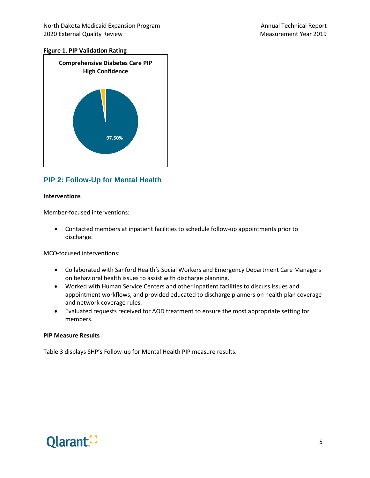#### **Figure 1. PIP Validation Rating**



#### **PIP 2: Follow-Up for Mental Health**

#### **Interventions**

Member-focused interventions:

• Contacted members at inpatient facilities to schedule follow-up appointments prior to discharge.

MCO-focused interventions:

- Collaborated with Sanford Health's Social Workers and Emergency Department Care Managers on behavioral health issues to assist with discharge planning.
- Worked with Human Service Centers and other inpatient facilities to discuss issues and appointment workflows, and provided educated to discharge planners on health plan coverage and network coverage rules.
- Evaluated requests received for AOD treatment to ensure the most appropriate setting for members.

#### **PIP Measure Results**

Table 3 displays SHP's Follow-up for Mental Health PIP measure results.

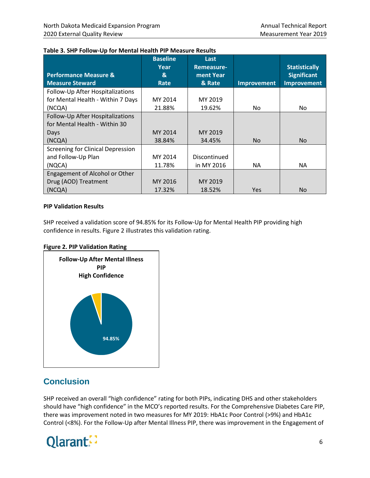|                                   | <b>Baseline</b><br>Year | Last<br>Remeasure- |                    | <b>Statistically</b> |
|-----------------------------------|-------------------------|--------------------|--------------------|----------------------|
| <b>Performance Measure &amp;</b>  | &                       | ment Year          |                    | <b>Significant</b>   |
| <b>Measure Steward</b>            | Rate                    | & Rate             | <b>Improvement</b> | <b>Improvement</b>   |
| Follow-Up After Hospitalizations  |                         |                    |                    |                      |
| for Mental Health - Within 7 Days | MY 2014                 | MY 2019            |                    |                      |
| (NCQA)                            | 21.88%                  | 19.62%             | No.                | No                   |
| Follow-Up After Hospitalizations  |                         |                    |                    |                      |
| for Mental Health - Within 30     |                         |                    |                    |                      |
| Days                              | MY 2014                 | MY 2019            |                    |                      |
| (NCQA)                            | 38.84%                  | 34.45%             | No.                | <b>No</b>            |
| Screening for Clinical Depression |                         |                    |                    |                      |
| and Follow-Up Plan                | MY 2014                 | Discontinued       |                    |                      |
| (NQCA)                            | 11.78%                  | in MY 2016         | ΝA                 | <b>NA</b>            |
| Engagement of Alcohol or Other    |                         |                    |                    |                      |
| Drug (AOD) Treatment              | MY 2016                 | MY 2019            |                    |                      |
| (NCQA)                            | 17.32%                  | 18.52%             | <b>Yes</b>         | <b>No</b>            |

#### **Table 3. SHP Follow-Up for Mental Health PIP Measure Results**

#### **PIP Validation Results**

SHP received a validation score of 94.85% for its Follow-Up for Mental Health PIP providing high confidence in results. Figure 2 illustrates this validation rating.





## <span id="page-12-0"></span>**Conclusion**

SHP received an overall "high confidence" rating for both PIPs, indicating DHS and other stakeholders should have "high confidence" in the MCO's reported results. For the Comprehensive Diabetes Care PIP, there was improvement noted in two measures for MY 2019: HbA1c Poor Control (>9%) and HbA1c Control (<8%). For the Follow-Up after Mental Illness PIP, there was improvement in the Engagement of

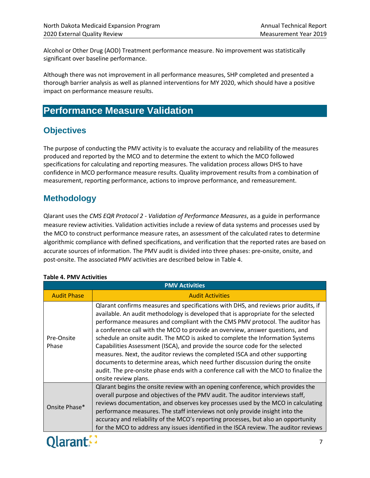Alcohol or Other Drug (AOD) Treatment performance measure. No improvement was statistically significant over baseline performance.

Although there was not improvement in all performance measures, SHP completed and presented a thorough barrier analysis as well as planned interventions for MY 2020, which should have a positive impact on performance measure results.

## <span id="page-13-0"></span>**Performance Measure Validation**

## <span id="page-13-1"></span>**Objectives**

The purpose of conducting the PMV activity is to evaluate the accuracy and reliability of the measures produced and reported by the MCO and to determine the extent to which the MCO followed specifications for calculating and reporting measures. The validation process allows DHS to have confidence in MCO performance measure results. Quality improvement results from a combination of measurement, reporting performance, actions to improve performance, and remeasurement.

## <span id="page-13-2"></span>**Methodology**

Qlarant uses the *CMS EQR Protocol 2 - Validation of Performance Measures*, as a guide in performance measure review activities. Validation activities include a review of data systems and processes used by the MCO to construct performance measure rates, an assessment of the calculated rates to determine algorithmic compliance with defined specifications, and verification that the reported rates are based on accurate sources of information. The PMV audit is divided into three phases: pre-onsite, onsite, and post-onsite. The associated PMV activities are described below in Table 4.

| <b>PMV Activities</b> |                                                                                                                                                                                                                                                                                                                                                                                                                                                                                                                                                                                                                                                                                                                                                                                             |  |  |
|-----------------------|---------------------------------------------------------------------------------------------------------------------------------------------------------------------------------------------------------------------------------------------------------------------------------------------------------------------------------------------------------------------------------------------------------------------------------------------------------------------------------------------------------------------------------------------------------------------------------------------------------------------------------------------------------------------------------------------------------------------------------------------------------------------------------------------|--|--|
| <b>Audit Phase</b>    | <b>Audit Activities</b>                                                                                                                                                                                                                                                                                                                                                                                                                                                                                                                                                                                                                                                                                                                                                                     |  |  |
| Pre-Onsite<br>Phase   | Qlarant confirms measures and specifications with DHS, and reviews prior audits, if<br>available. An audit methodology is developed that is appropriate for the selected<br>performance measures and compliant with the CMS PMV protocol. The auditor has<br>a conference call with the MCO to provide an overview, answer questions, and<br>schedule an onsite audit. The MCO is asked to complete the Information Systems<br>Capabilities Assessment (ISCA), and provide the source code for the selected<br>measures. Next, the auditor reviews the completed ISCA and other supporting<br>documents to determine areas, which need further discussion during the onsite<br>audit. The pre-onsite phase ends with a conference call with the MCO to finalize the<br>onsite review plans. |  |  |
| Onsite Phase*         | Qlarant begins the onsite review with an opening conference, which provides the<br>overall purpose and objectives of the PMV audit. The auditor interviews staff,<br>reviews documentation, and observes key processes used by the MCO in calculating<br>performance measures. The staff interviews not only provide insight into the<br>accuracy and reliability of the MCO's reporting processes, but also an opportunity<br>for the MCO to address any issues identified in the ISCA review. The auditor reviews                                                                                                                                                                                                                                                                         |  |  |

#### **Table 4. PMV Activities**

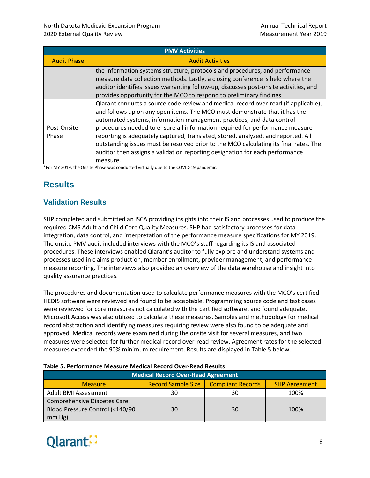| <b>PMV Activities</b> |                                                                                                                                                                                                                                                                                                                                                                                                                                                                                                                                                                                                                                                                                                                                                                                                                                                                                                                          |  |  |
|-----------------------|--------------------------------------------------------------------------------------------------------------------------------------------------------------------------------------------------------------------------------------------------------------------------------------------------------------------------------------------------------------------------------------------------------------------------------------------------------------------------------------------------------------------------------------------------------------------------------------------------------------------------------------------------------------------------------------------------------------------------------------------------------------------------------------------------------------------------------------------------------------------------------------------------------------------------|--|--|
| <b>Audit Phase</b>    | <b>Audit Activities</b>                                                                                                                                                                                                                                                                                                                                                                                                                                                                                                                                                                                                                                                                                                                                                                                                                                                                                                  |  |  |
|                       | the information systems structure, protocols and procedures, and performance<br>measure data collection methods. Lastly, a closing conference is held where the<br>auditor identifies issues warranting follow-up, discusses post-onsite activities, and<br>provides opportunity for the MCO to respond to preliminary findings.                                                                                                                                                                                                                                                                                                                                                                                                                                                                                                                                                                                         |  |  |
| Post-Onsite<br>Phase  | Qlarant conducts a source code review and medical record over-read (if applicable),<br>and follows up on any open items. The MCO must demonstrate that it has the<br>automated systems, information management practices, and data control<br>procedures needed to ensure all information required for performance measure<br>reporting is adequately captured, translated, stored, analyzed, and reported. All<br>outstanding issues must be resolved prior to the MCO calculating its final rates. The<br>auditor then assigns a validation reporting designation for each performance<br>measure.<br>$*$ $\blacksquare$ A 434 2040, the $\blacksquare$ $\blacksquare$ $\blacksquare$ $\blacksquare$ $\blacksquare$ $\blacksquare$ $\blacksquare$ $\blacksquare$ $\blacksquare$ $\blacksquare$ $\blacksquare$ $\blacksquare$ $\blacksquare$ $\blacksquare$ $\blacksquare$ $\blacksquare$ $\blacksquare$ $\blacksquare$ |  |  |

\*For MY 2019, the Onsite Phase was conducted virtually due to the COVID-19 pandemic.

## <span id="page-14-0"></span>**Results**

#### **Validation Results**

SHP completed and submitted an ISCA providing insights into their IS and processes used to produce the required CMS Adult and Child Core Quality Measures. SHP had satisfactory processes for data integration, data control, and interpretation of the performance measure specifications for MY 2019. The onsite PMV audit included interviews with the MCO's staff regarding its IS and associated procedures. These interviews enabled Qlarant's auditor to fully explore and understand systems and processes used in claims production, member enrollment, provider management, and performance measure reporting. The interviews also provided an overview of the data warehouse and insight into quality assurance practices.

The procedures and documentation used to calculate performance measures with the MCO's certified HEDIS software were reviewed and found to be acceptable. Programming source code and test cases were reviewed for core measures not calculated with the certified software, and found adequate. Microsoft Access was also utilized to calculate these measures. Samples and methodology for medical record abstraction and identifying measures requiring review were also found to be adequate and approved. Medical records were examined during the onsite visit for several measures, and two measures were selected for further medical record over-read review. Agreement rates for the selected measures exceeded the 90% minimum requirement. Results are displayed in Table 5 below.

| <b>Medical Record Over-Read Agreement</b>                                                       |    |    |      |  |  |
|-------------------------------------------------------------------------------------------------|----|----|------|--|--|
| <b>Compliant Records</b><br><b>Record Sample Size</b><br><b>SHP Agreement</b><br><b>Measure</b> |    |    |      |  |  |
| Adult BMI Assessment                                                                            | 30 | 30 | 100% |  |  |
| <b>Comprehensive Diabetes Care:</b><br>Blood Pressure Control (<140/90<br>$mm Hg$ )             | 30 | 30 | 100% |  |  |

#### **Table 5. Performance Measure Medical Record Over-Read Results**

## Qlarant: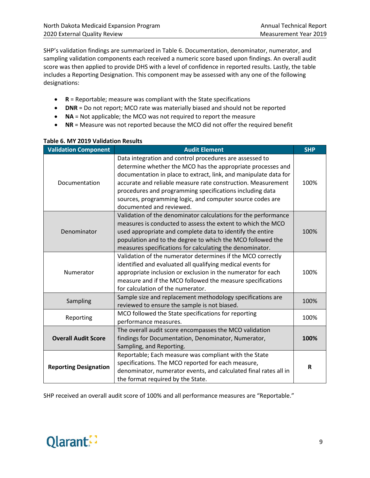SHP's validation findings are summarized in Table 6. Documentation, denominator, numerator, and sampling validation components each received a numeric score based upon findings. An overall audit score was then applied to provide DHS with a level of confidence in reported results. Lastly, the table includes a Reporting Designation. This component may be assessed with any one of the following designations:

- **R** = Reportable; measure was compliant with the State specifications
- **DNR** = Do not report; MCO rate was materially biased and should not be reported
- **NA** = Not applicable; the MCO was not required to report the measure
- **NR** = Measure was not reported because the MCO did not offer the required benefit

| <b>Validation Component</b>  | <b>Audit Element</b>                                                                                                                                                                                                                                                                                                                                                                                            | <b>SHP</b> |
|------------------------------|-----------------------------------------------------------------------------------------------------------------------------------------------------------------------------------------------------------------------------------------------------------------------------------------------------------------------------------------------------------------------------------------------------------------|------------|
| Documentation                | Data integration and control procedures are assessed to<br>determine whether the MCO has the appropriate processes and<br>documentation in place to extract, link, and manipulate data for<br>accurate and reliable measure rate construction. Measurement<br>procedures and programming specifications including data<br>sources, programming logic, and computer source codes are<br>documented and reviewed. | 100%       |
| Denominator                  | Validation of the denominator calculations for the performance<br>measures is conducted to assess the extent to which the MCO<br>used appropriate and complete data to identify the entire<br>population and to the degree to which the MCO followed the<br>measures specifications for calculating the denominator.                                                                                            | 100%       |
| Numerator                    | Validation of the numerator determines if the MCO correctly<br>identified and evaluated all qualifying medical events for<br>appropriate inclusion or exclusion in the numerator for each<br>measure and if the MCO followed the measure specifications<br>for calculation of the numerator.                                                                                                                    | 100%       |
| Sampling                     | Sample size and replacement methodology specifications are<br>reviewed to ensure the sample is not biased.                                                                                                                                                                                                                                                                                                      | 100%       |
| Reporting                    | MCO followed the State specifications for reporting<br>performance measures.                                                                                                                                                                                                                                                                                                                                    | 100%       |
| <b>Overall Audit Score</b>   | The overall audit score encompasses the MCO validation<br>findings for Documentation, Denominator, Numerator,<br>Sampling, and Reporting.                                                                                                                                                                                                                                                                       | 100%       |
| <b>Reporting Designation</b> | Reportable; Each measure was compliant with the State<br>specifications. The MCO reported for each measure,<br>denominator, numerator events, and calculated final rates all in<br>the format required by the State.                                                                                                                                                                                            | R          |

#### **Table 6. MY 2019 Validation Results**

SHP received an overall audit score of 100% and all performance measures are "Reportable."

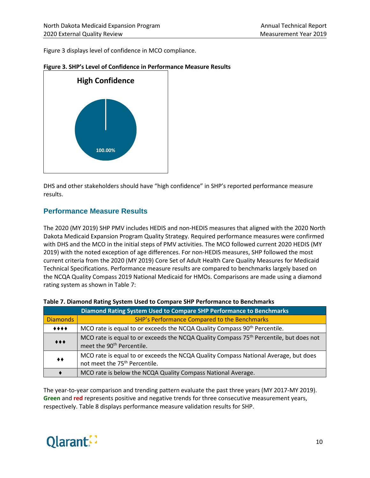Figure 3 displays level of confidence in MCO compliance.



#### **Figure 3. SHP's Level of Confidence in Performance Measure Results**

DHS and other stakeholders should have "high confidence" in SHP's reported performance measure results.

#### **Performance Measure Results**

The 2020 (MY 2019) SHP PMV includes HEDIS and non-HEDIS measures that aligned with the 2020 North Dakota Medicaid Expansion Program Quality Strategy. Required performance measures were confirmed with DHS and the MCO in the initial steps of PMV activities. The MCO followed current 2020 HEDIS (MY 2019) with the noted exception of age differences. For non-HEDIS measures, SHP followed the most current criteria from the 2020 (MY 2019) Core Set of Adult Health Care Quality Measures for Medicaid Technical Specifications. Performance measure results are compared to benchmarks largely based on the NCQA Quality Compass 2019 National Medicaid for HMOs. Comparisons are made using a diamond rating system as shown in Table 7:

|                 | Diamond Rating System Used to Compare SHP Performance to Benchmarks                                                                         |
|-----------------|---------------------------------------------------------------------------------------------------------------------------------------------|
| <b>Diamonds</b> | SHP's Performance Compared to the Benchmarks                                                                                                |
| $***$           | MCO rate is equal to or exceeds the NCQA Quality Compass 90 <sup>th</sup> Percentile.                                                       |
| $***$           | MCO rate is equal to or exceeds the NCQA Quality Compass 75 <sup>th</sup> Percentile, but does not<br>meet the 90 <sup>th</sup> Percentile. |
| ◆◆              | MCO rate is equal to or exceeds the NCQA Quality Compass National Average, but does<br>not meet the 75 <sup>th</sup> Percentile.            |
|                 | MCO rate is below the NCQA Quality Compass National Average.                                                                                |

| Table 7. Diamond Rating System Used to Compare SHP Performance to Benchmarks |
|------------------------------------------------------------------------------|
|------------------------------------------------------------------------------|

The year-to-year comparison and trending pattern evaluate the past three years (MY 2017-MY 2019). **Green** and **red** represents positive and negative trends for three consecutive measurement years, respectively. Table 8 displays performance measure validation results for SHP.

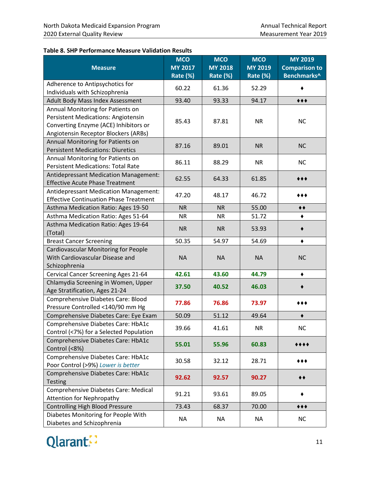#### **Table 8. SHP Performance Measure Validation Results**

| <b>Measure</b>                                                                | <b>MCO</b><br><b>MY 2017</b><br>Rate (%) | <b>MCO</b><br><b>MY 2018</b><br>Rate (%) | <b>MCO</b><br><b>MY 2019</b><br>Rate (%) | <b>MY 2019</b><br><b>Comparison to</b><br>Benchmarks^ |
|-------------------------------------------------------------------------------|------------------------------------------|------------------------------------------|------------------------------------------|-------------------------------------------------------|
| Adherence to Antipsychotics for                                               | 60.22                                    | 61.36                                    | 52.29                                    |                                                       |
| Individuals with Schizophrenia                                                |                                          |                                          |                                          |                                                       |
| Adult Body Mass Index Assessment                                              | 93.40                                    | 93.33                                    | 94.17                                    | $***$                                                 |
| Annual Monitoring for Patients on                                             |                                          |                                          |                                          |                                                       |
| <b>Persistent Medications: Angiotensin</b>                                    | 85.43                                    | 87.81                                    | <b>NR</b>                                | <b>NC</b>                                             |
| Converting Enzyme (ACE) Inhibitors or                                         |                                          |                                          |                                          |                                                       |
| Angiotensin Receptor Blockers (ARBs)                                          |                                          |                                          |                                          |                                                       |
| Annual Monitoring for Patients on<br><b>Persistent Medications: Diuretics</b> | 87.16                                    | 89.01                                    | <b>NR</b>                                | <b>NC</b>                                             |
| Annual Monitoring for Patients on                                             |                                          |                                          |                                          |                                                       |
| <b>Persistent Medications: Total Rate</b>                                     | 86.11                                    | 88.29                                    | <b>NR</b>                                | <b>NC</b>                                             |
| <b>Antidepressant Medication Management:</b>                                  |                                          |                                          |                                          |                                                       |
| <b>Effective Acute Phase Treatment</b>                                        | 62.55                                    | 64.33                                    | 61.85                                    |                                                       |
| Antidepressant Medication Management:                                         |                                          |                                          |                                          |                                                       |
| <b>Effective Continuation Phase Treatment</b>                                 | 47.20                                    | 48.17                                    | 46.72                                    | ◆◆◆                                                   |
| Asthma Medication Ratio: Ages 19-50                                           | <b>NR</b>                                | <b>NR</b>                                | 55.00                                    | $\blacklozenge \blacklozenge$                         |
| Asthma Medication Ratio: Ages 51-64                                           | <b>NR</b>                                | <b>NR</b>                                | 51.72                                    |                                                       |
| Asthma Medication Ratio: Ages 19-64                                           | <b>NR</b>                                | <b>NR</b>                                | 53.93                                    |                                                       |
| (Total)                                                                       |                                          |                                          |                                          |                                                       |
| <b>Breast Cancer Screening</b>                                                | 50.35                                    | 54.97                                    | 54.69                                    | ٠                                                     |
| <b>Cardiovascular Monitoring for People</b>                                   |                                          |                                          |                                          |                                                       |
| With Cardiovascular Disease and                                               | <b>NA</b>                                | <b>NA</b>                                | <b>NA</b>                                | <b>NC</b>                                             |
| Schizophrenia                                                                 |                                          |                                          |                                          |                                                       |
| Cervical Cancer Screening Ages 21-64                                          | 42.61                                    | 43.60                                    | 44.79                                    | ٠                                                     |
| Chlamydia Screening in Women, Upper<br>Age Stratification, Ages 21-24         | 37.50                                    | 40.52                                    | 46.03                                    |                                                       |
| Comprehensive Diabetes Care: Blood                                            |                                          |                                          |                                          |                                                       |
| Pressure Controlled <140/90 mm Hg                                             | 77.86                                    | 76.86                                    | 73.97                                    | ***                                                   |
| Comprehensive Diabetes Care: Eye Exam                                         | 50.09                                    | 51.12                                    | 49.64                                    |                                                       |
| Comprehensive Diabetes Care: HbA1c                                            | 39.66                                    | 41.61                                    | <b>NR</b>                                | NC                                                    |
| Control (<7%) for a Selected Population                                       |                                          |                                          |                                          |                                                       |
| Comprehensive Diabetes Care: HbA1c                                            | 55.01                                    | 55.96                                    | 60.83                                    |                                                       |
| Control (<8%)                                                                 |                                          |                                          |                                          |                                                       |
| Comprehensive Diabetes Care: HbA1c                                            | 30.58                                    | 32.12                                    | 28.71                                    | ***                                                   |
| Poor Control (>9%) Lower is better                                            |                                          |                                          |                                          |                                                       |
| Comprehensive Diabetes Care: HbA1c<br><b>Testing</b>                          | 92.62                                    | 92.57                                    | 90.27                                    | ▸♦                                                    |
| Comprehensive Diabetes Care: Medical                                          |                                          |                                          |                                          |                                                       |
| <b>Attention for Nephropathy</b>                                              | 91.21                                    | 93.61                                    | 89.05                                    |                                                       |
| <b>Controlling High Blood Pressure</b>                                        | 73.43                                    | 68.37                                    | 70.00                                    | 00€                                                   |
| Diabetes Monitoring for People With                                           |                                          |                                          |                                          |                                                       |
| Diabetes and Schizophrenia                                                    | <b>NA</b>                                | <b>NA</b>                                | <b>NA</b>                                | <b>NC</b>                                             |

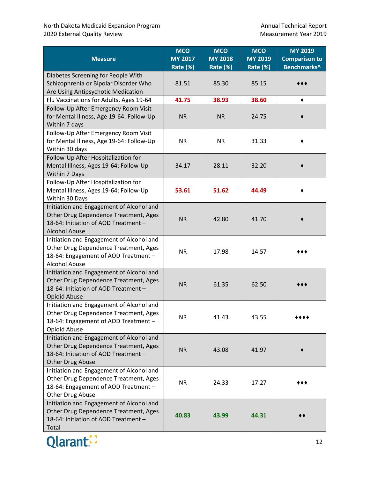| <b>Measure</b>                                                                                                                                       | <b>MCO</b><br><b>MY 2017</b><br>Rate (%) | <b>MCO</b><br><b>MY 2018</b><br>Rate (%) | <b>MCO</b><br><b>MY 2019</b><br>Rate (%) | <b>MY 2019</b><br><b>Comparison to</b><br>Benchmarks^ |
|------------------------------------------------------------------------------------------------------------------------------------------------------|------------------------------------------|------------------------------------------|------------------------------------------|-------------------------------------------------------|
| Diabetes Screening for People With<br>Schizophrenia or Bipolar Disorder Who<br>Are Using Antipsychotic Medication                                    | 81.51                                    | 85.30                                    | 85.15                                    |                                                       |
| Flu Vaccinations for Adults, Ages 19-64                                                                                                              | 41.75                                    | 38.93                                    | 38.60                                    |                                                       |
| Follow-Up After Emergency Room Visit<br>for Mental Illness, Age 19-64: Follow-Up<br>Within 7 days                                                    | <b>NR</b>                                | <b>NR</b>                                | 24.75                                    |                                                       |
| Follow-Up After Emergency Room Visit<br>for Mental Illness, Age 19-64: Follow-Up<br>Within 30 days                                                   | <b>NR</b>                                | <b>NR</b>                                | 31.33                                    |                                                       |
| Follow-Up After Hospitalization for<br>Mental Illness, Ages 19-64: Follow-Up<br>Within 7 Days                                                        | 34.17                                    | 28.11                                    | 32.20                                    |                                                       |
| Follow-Up After Hospitalization for<br>Mental Illness, Ages 19-64: Follow-Up<br>Within 30 Days                                                       | 53.61                                    | 51.62                                    | 44.49                                    |                                                       |
| Initiation and Engagement of Alcohol and<br>Other Drug Dependence Treatment, Ages<br>18-64: Initiation of AOD Treatment -<br><b>Alcohol Abuse</b>    | <b>NR</b>                                | 42.80                                    | 41.70                                    |                                                       |
| Initiation and Engagement of Alcohol and<br>Other Drug Dependence Treatment, Ages<br>18-64: Engagement of AOD Treatment -<br><b>Alcohol Abuse</b>    | <b>NR</b>                                | 17.98                                    | 14.57                                    |                                                       |
| Initiation and Engagement of Alcohol and<br>Other Drug Dependence Treatment, Ages<br>18-64: Initiation of AOD Treatment -<br><b>Opioid Abuse</b>     | <b>NR</b>                                | 61.35                                    | 62.50                                    |                                                       |
| Initiation and Engagement of Alcohol and<br>Other Drug Dependence Treatment, Ages<br>18-64: Engagement of AOD Treatment -<br>Opioid Abuse            | NR.                                      | 41.43                                    | 43.55                                    | ****                                                  |
| Initiation and Engagement of Alcohol and<br>Other Drug Dependence Treatment, Ages<br>18-64: Initiation of AOD Treatment -<br><b>Other Drug Abuse</b> | <b>NR</b>                                | 43.08                                    | 41.97                                    |                                                       |
| Initiation and Engagement of Alcohol and<br>Other Drug Dependence Treatment, Ages<br>18-64: Engagement of AOD Treatment -<br>Other Drug Abuse        | <b>NR</b>                                | 24.33                                    | 17.27                                    |                                                       |
| Initiation and Engagement of Alcohol and<br>Other Drug Dependence Treatment, Ages<br>18-64: Initiation of AOD Treatment -<br>Total                   | 40.83                                    | 43.99                                    | 44.31                                    |                                                       |

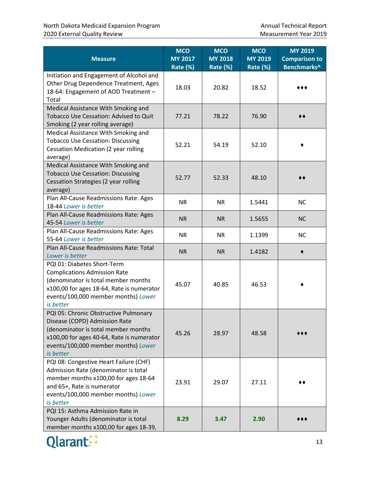| <b>Measure</b>                                                                                                                                                                                                 | <b>MCO</b><br><b>MY 2017</b><br>Rate (%) | <b>MCO</b><br><b>MY 2018</b><br>Rate (%) | <b>MCO</b><br><b>MY 2019</b><br>Rate (%) | <b>MY 2019</b><br><b>Comparison to</b><br>Benchmarks^ |
|----------------------------------------------------------------------------------------------------------------------------------------------------------------------------------------------------------------|------------------------------------------|------------------------------------------|------------------------------------------|-------------------------------------------------------|
| Initiation and Engagement of Alcohol and<br>Other Drug Dependence Treatment, Ages<br>18-64: Engagement of AOD Treatment -<br>Total                                                                             | 18.03                                    | 20.82                                    | 18.52                                    |                                                       |
| Medical Assistance With Smoking and<br>Tobacco Use Cessation: Advised to Quit<br>Smoking (2 year rolling average)                                                                                              | 77.21                                    | 78.22                                    | 76.90                                    |                                                       |
| Medical Assistance With Smoking and<br><b>Tobacco Use Cessation: Discussing</b><br>Cessation Medication (2 year rolling<br>average)                                                                            | 52.21                                    | 54.19                                    | 52.10                                    |                                                       |
| Medical Assistance With Smoking and<br><b>Tobacco Use Cessation: Discussing</b><br>Cessation Strategies (2 year rolling<br>average)                                                                            | 52.77                                    | 52.33                                    | 48.10                                    |                                                       |
| Plan All-Cause Readmissions Rate: Ages<br>18-44 Lower is better                                                                                                                                                | <b>NR</b>                                | <b>NR</b>                                | 1.5441                                   | <b>NC</b>                                             |
| Plan All-Cause Readmissions Rate: Ages<br>45-54 Lower is better                                                                                                                                                | <b>NR</b>                                | <b>NR</b>                                | 1.5655                                   | <b>NC</b>                                             |
| Plan All-Cause Readmissions Rate: Ages<br>55-64 Lower is better                                                                                                                                                | <b>NR</b>                                | <b>NR</b>                                | 1.1399                                   | <b>NC</b>                                             |
| Plan All-Cause Readmissions Rate: Total<br>Lower is better                                                                                                                                                     | <b>NR</b>                                | <b>NR</b>                                | 1.4182                                   |                                                       |
| PQI 01: Diabetes Short-Term<br><b>Complications Admission Rate</b><br>(denominator is total member months<br>x100,00 for ages 18-64, Rate is numerator<br>events/100,000 member months) Lower<br>is better     | 45.07                                    | 40.85                                    | 46.53                                    |                                                       |
| PQI 05: Chronic Obstructive Pulmonary<br>Disease (COPD) Admission Rate<br>(denominator is total member months<br>x100,00 for ages 40-64, Rate is numerator<br>events/100,000 member months) Lower<br>is better | 45.26                                    | 28.97                                    | 48.58                                    |                                                       |
| PQI 08: Congestive Heart Failure (CHF)<br>Admission Rate (denominator is total<br>member months x100,00 for ages 18-64<br>and 65+, Rate is numerator<br>events/100,000 member months) Lower<br>is better       | 23.91                                    | 29.07                                    | 27.11                                    |                                                       |
| PQI 15: Asthma Admission Rate in<br>Younger Adults (denominator is total<br>member months x100,00 for ages 18-39,                                                                                              | 8.29                                     | 3.47                                     | 2.90                                     |                                                       |

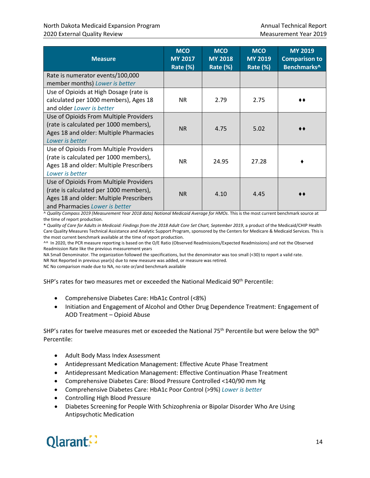| <b>Measure</b>                                                                                                                                                | <b>MCO</b><br><b>MY 2017</b><br>Rate (%) | <b>MCO</b><br><b>MY 2018</b><br>Rate (%) | <b>MCO</b><br><b>MY 2019</b><br>Rate (%) | <b>MY 2019</b><br><b>Comparison to</b><br>Benchmarks^ |
|---------------------------------------------------------------------------------------------------------------------------------------------------------------|------------------------------------------|------------------------------------------|------------------------------------------|-------------------------------------------------------|
| Rate is numerator events/100,000<br>member months) Lower is better                                                                                            |                                          |                                          |                                          |                                                       |
| Use of Opioids at High Dosage (rate is<br>calculated per 1000 members), Ages 18<br>and older Lower is better                                                  | <b>NR</b>                                | 2.79                                     | 2.75                                     |                                                       |
| Use of Opioids From Multiple Providers<br>(rate is calculated per 1000 members),<br>Ages 18 and older: Multiple Pharmacies<br>Lower is better                 | <b>NR</b>                                | 4.75                                     | 5.02                                     |                                                       |
| Use of Opioids From Multiple Providers<br>(rate is calculated per 1000 members),<br>Ages 18 and older: Multiple Prescribers<br>Lower is better                | <b>NR</b>                                | 24.95                                    | 27.28                                    |                                                       |
| Use of Opioids From Multiple Providers<br>(rate is calculated per 1000 members),<br>Ages 18 and older: Multiple Prescribers<br>and Pharmacies Lower is better | <b>NR</b>                                | 4.10                                     | 4.45                                     |                                                       |

^ *Quality Compass 2019 (Measurement Year 2018 data) National Medicaid Average for HMOs*. This is the most current benchmark source at the time of report production.

\* *Quality of Care for Adults in Medicaid: Findings from the 2018 Adult Core Set Chart, September 2019*, a product of the Medicaid/CHIP Health Care Quality Measures Technical Assistance and Analytic Support Program, sponsored by the Centers for Medicare & Medicaid Services. This is the most current benchmark available at the time of report production.

^^ In 2020, the PCR measure reporting is based on the O/E Ratio (Observed Readmissions/Expected Readmissions) and not the Observed Readmission Rate like the previous measurement years

NA Small Denominator. The organization followed the specifications, but the denominator was too small (<30) to report a valid rate. NR Not Reported in previous year(s) due to new measure was added, or measure was retired.

NC No comparison made due to NA, no rate or/and benchmark available

SHP's rates for two measures met or exceeded the National Medicaid 90th Percentile:

- Comprehensive Diabetes Care: HbA1c Control (<8%)
- Initiation and Engagement of Alcohol and Other Drug Dependence Treatment: Engagement of AOD Treatment – Opioid Abuse

SHP's rates for twelve measures met or exceeded the National 75<sup>th</sup> Percentile but were below the 90<sup>th</sup> Percentile:

- Adult Body Mass Index Assessment
- Antidepressant Medication Management: Effective Acute Phase Treatment
- Antidepressant Medication Management: Effective Continuation Phase Treatment
- Comprehensive Diabetes Care: Blood Pressure Controlled <140/90 mm Hg
- Comprehensive Diabetes Care: HbA1c Poor Control (>9%) *Lower is better*
- Controlling High Blood Pressure
- Diabetes Screening for People With Schizophrenia or Bipolar Disorder Who Are Using Antipsychotic Medication

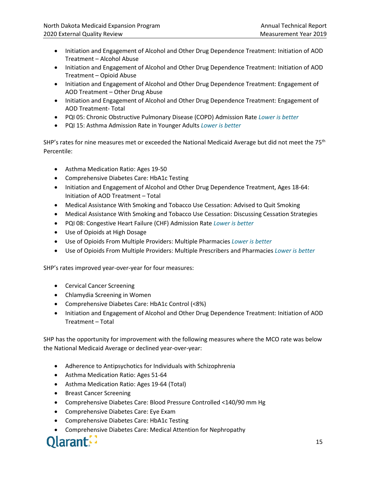- Initiation and Engagement of Alcohol and Other Drug Dependence Treatment: Initiation of AOD Treatment – Alcohol Abuse
- Initiation and Engagement of Alcohol and Other Drug Dependence Treatment: Initiation of AOD Treatment – Opioid Abuse
- Initiation and Engagement of Alcohol and Other Drug Dependence Treatment: Engagement of AOD Treatment – Other Drug Abuse
- Initiation and Engagement of Alcohol and Other Drug Dependence Treatment: Engagement of AOD Treatment- Total
- PQI 05: Chronic Obstructive Pulmonary Disease (COPD) Admission Rate *Lower is better*
- PQI 15: Asthma Admission Rate in Younger Adults *Lower is better*

SHP's rates for nine measures met or exceeded the National Medicaid Average but did not meet the  $75<sup>th</sup>$ Percentile:

- Asthma Medication Ratio: Ages 19-50
- Comprehensive Diabetes Care: HbA1c Testing
- Initiation and Engagement of Alcohol and Other Drug Dependence Treatment, Ages 18-64: Initiation of AOD Treatment – Total
- Medical Assistance With Smoking and Tobacco Use Cessation: Advised to Quit Smoking
- Medical Assistance With Smoking and Tobacco Use Cessation: Discussing Cessation Strategies
- PQI 08: Congestive Heart Failure (CHF) Admission Rate *Lower is better*
- Use of Opioids at High Dosage
- Use of Opioids From Multiple Providers: Multiple Pharmacies *Lower is better*
- Use of Opioids From Multiple Providers: Multiple Prescribers and Pharmacies *Lower is better*

SHP's rates improved year-over-year for four measures:

- Cervical Cancer Screening
- Chlamydia Screening in Women
- Comprehensive Diabetes Care: HbA1c Control (<8%)
- Initiation and Engagement of Alcohol and Other Drug Dependence Treatment: Initiation of AOD Treatment – Total

SHP has the opportunity for improvement with the following measures where the MCO rate was below the National Medicaid Average or declined year-over-year:

- Adherence to Antipsychotics for Individuals with Schizophrenia
- Asthma Medication Ratio: Ages 51-64
- Asthma Medication Ratio: Ages 19-64 (Total)
- Breast Cancer Screening
- Comprehensive Diabetes Care: Blood Pressure Controlled <140/90 mm Hg
- Comprehensive Diabetes Care: Eye Exam
- Comprehensive Diabetes Care: HbA1c Testing
- Comprehensive Diabetes Care: Medical Attention for Nephropathy

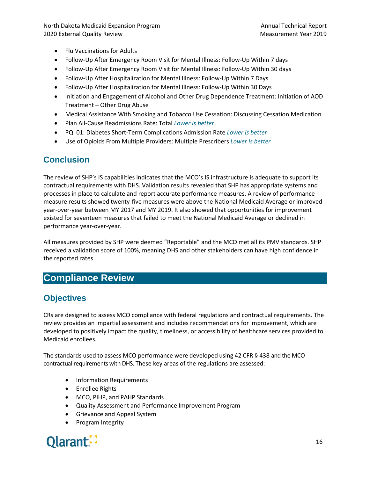- Flu Vaccinations for Adults
- Follow-Up After Emergency Room Visit for Mental Illness: Follow-Up Within 7 days
- Follow-Up After Emergency Room Visit for Mental Illness: Follow-Up Within 30 days
- Follow-Up After Hospitalization for Mental Illness: Follow-Up Within 7 Days
- Follow-Up After Hospitalization for Mental Illness: Follow-Up Within 30 Days
- Initiation and Engagement of Alcohol and Other Drug Dependence Treatment: Initiation of AOD Treatment – Other Drug Abuse
- Medical Assistance With Smoking and Tobacco Use Cessation: Discussing Cessation Medication
- Plan All-Cause Readmissions Rate: Total *Lower is better*
- PQI 01: Diabetes Short-Term Complications Admission Rate *Lower is better*
- Use of Opioids From Multiple Providers: Multiple Prescribers *Lower is better*

## <span id="page-22-0"></span>**Conclusion**

The review of SHP's IS capabilities indicates that the MCO's IS infrastructure is adequate to support its contractual requirements with DHS. Validation results revealed that SHP has appropriate systems and processes in place to calculate and report accurate performance measures. A review of performance measure results showed twenty-five measures were above the National Medicaid Average or improved year-over-year between MY 2017 and MY 2019. It also showed that opportunities for improvement existed for seventeen measures that failed to meet the National Medicaid Average or declined in performance year-over-year.

All measures provided by SHP were deemed "Reportable" and the MCO met all its PMV standards. SHP received a validation score of 100%, meaning DHS and other stakeholders can have high confidence in the reported rates.

## <span id="page-22-1"></span>**Compliance Review**

## <span id="page-22-2"></span>**Objectives**

CRs are designed to assess MCO compliance with federal regulations and contractual requirements. The review provides an impartial assessment and includes recommendations for improvement, which are developed to positively impact the quality, timeliness, or accessibility of healthcare services provided to Medicaid enrollees.

The standards used to assess MCO performance were developed using 42 CFR § 438 and the MCO contractual requirements with DHS. These key areas of the regulations are assessed:

- Information Requirements
- Enrollee Rights
- MCO, PIHP, and PAHP Standards
- Quality Assessment and Performance Improvement Program
- Grievance and Appeal System
- Program Integrity

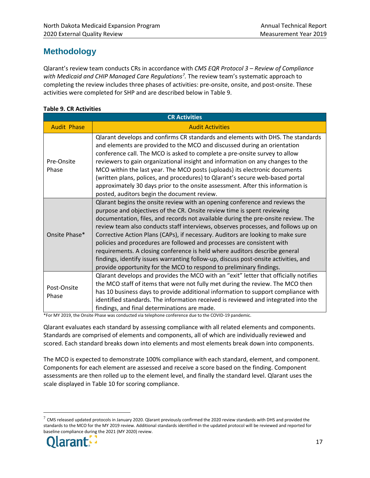## <span id="page-23-0"></span>**Methodology**

Qlarant's review team conducts CRs in accordance with *CMS EQR Protocol 3 – Review of Compliance*  with Medicaid and CHIP Managed Care Regulations<sup>[7](#page-23-1)</sup>. The review team's systematic approach to completing the review includes three phases of activities: pre-onsite, onsite, and post-onsite. These activities were completed for SHP and are described below in Table 9.

#### **Table 9. CR Activities**

| <b>CR Activities</b> |                                                                                                                                                                                                                                                                                                                                                                                                                                                                                                                                                                                                                                                                                                                                           |  |  |  |  |
|----------------------|-------------------------------------------------------------------------------------------------------------------------------------------------------------------------------------------------------------------------------------------------------------------------------------------------------------------------------------------------------------------------------------------------------------------------------------------------------------------------------------------------------------------------------------------------------------------------------------------------------------------------------------------------------------------------------------------------------------------------------------------|--|--|--|--|
| <b>Audit Phase</b>   | <b>Audit Activities</b>                                                                                                                                                                                                                                                                                                                                                                                                                                                                                                                                                                                                                                                                                                                   |  |  |  |  |
| Pre-Onsite<br>Phase  | Qlarant develops and confirms CR standards and elements with DHS. The standards<br>and elements are provided to the MCO and discussed during an orientation<br>conference call. The MCO is asked to complete a pre-onsite survey to allow<br>reviewers to gain organizational insight and information on any changes to the<br>MCO within the last year. The MCO posts (uploads) its electronic documents<br>(written plans, polices, and procedures) to Qlarant's secure web-based portal<br>approximately 30 days prior to the onsite assessment. After this information is<br>posted, auditors begin the document review.                                                                                                              |  |  |  |  |
| Onsite Phase*        | Qlarant begins the onsite review with an opening conference and reviews the<br>purpose and objectives of the CR. Onsite review time is spent reviewing<br>documentation, files, and records not available during the pre-onsite review. The<br>review team also conducts staff interviews, observes processes, and follows up on<br>Corrective Action Plans (CAPs), if necessary. Auditors are looking to make sure<br>policies and procedures are followed and processes are consistent with<br>requirements. A closing conference is held where auditors describe general<br>findings, identify issues warranting follow-up, discuss post-onsite activities, and<br>provide opportunity for the MCO to respond to preliminary findings. |  |  |  |  |
| Post-Onsite<br>Phase | Qlarant develops and provides the MCO with an "exit" letter that officially notifies<br>the MCO staff of items that were not fully met during the review. The MCO then<br>has 10 business days to provide additional information to support compliance with<br>identified standards. The information received is reviewed and integrated into the<br>findings, and final determinations are made.                                                                                                                                                                                                                                                                                                                                         |  |  |  |  |

\*For MY 2019, the Onsite Phase was conducted via telephone conference due to the COVID-19 pandemic.

Qlarant evaluates each standard by assessing compliance with all related elements and components. Standards are comprised of elements and components, all of which are individually reviewed and scored. Each standard breaks down into elements and most elements break down into components.

The MCO is expected to demonstrate 100% compliance with each standard, element, and component. Components for each element are assessed and receive a score based on the finding. Component assessments are then rolled up to the element level, and finally the standard level. Qlarant uses the scale displayed in Table 10 for scoring compliance.

<span id="page-23-1"></span> $^7$  CMS released updated protocols in January 2020. Qlarant previously confirmed the 2020 review standards with DHS and provided the standards to the MCO for the MY 2019 review. Additional standards identified in the updated protocol will be reviewed and reported for baseline compliance during the 2021 (MY 2020) review.



 $\overline{a}$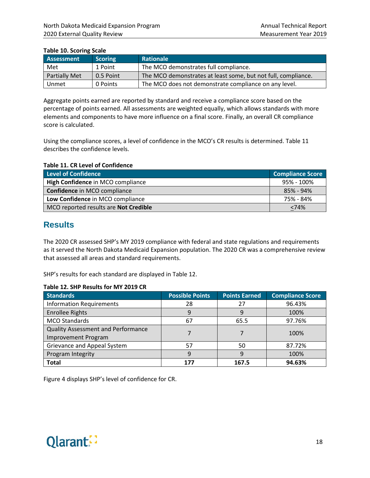#### **Table 10. Scoring Scale**

| Assessment           | <b>Scoring</b> | <b>Rationale</b>                                              |
|----------------------|----------------|---------------------------------------------------------------|
| Met                  | 1 Point        | The MCO demonstrates full compliance.                         |
| <b>Partially Met</b> | 0.5 Point      | The MCO demonstrates at least some, but not full, compliance. |
| Unmet                | 0 Points       | The MCO does not demonstrate compliance on any level.         |

Aggregate points earned are reported by standard and receive a compliance score based on the percentage of points earned. All assessments are weighted equally, which allows standards with more elements and components to have more influence on a final score. Finally, an overall CR compliance score is calculated.

Using the compliance scores, a level of confidence in the MCO's CR results is determined. Table 11 describes the confidence levels.

#### **Table 11. CR Level of Confidence**

| Level of Confidence                   | <b>Compliance Score</b> |
|---------------------------------------|-------------------------|
| High Confidence in MCO compliance     | 95% - 100%              |
| Confidence in MCO compliance          | 85% - 94%               |
| Low Confidence in MCO compliance      | 75% - 84%               |
| MCO reported results are Not Credible | <74%                    |

#### <span id="page-24-0"></span>**Results**

The 2020 CR assessed SHP's MY 2019 compliance with federal and state regulations and requirements as it served the North Dakota Medicaid Expansion population. The 2020 CR was a comprehensive review that assessed all areas and standard requirements.

SHP's results for each standard are displayed in Table 12.

#### **Table 12. SHP Results for MY 2019 CR**

| <b>Standards</b>                          | <b>Possible Points</b> | <b>Points Earned</b> | <b>Compliance Score</b> |  |
|-------------------------------------------|------------------------|----------------------|-------------------------|--|
| <b>Information Requirements</b>           | 28                     | 27                   | 96.43%                  |  |
| <b>Enrollee Rights</b>                    | 9                      | 9                    | 100%                    |  |
| <b>MCO Standards</b>                      | 67                     | 65.5                 | 97.76%                  |  |
| <b>Quality Assessment and Performance</b> |                        |                      | 100%                    |  |
| <b>Improvement Program</b>                |                        |                      |                         |  |
| Grievance and Appeal System               | 57                     | 50                   | 87.72%                  |  |
| Program Integrity                         | 9                      | 9                    | 100%                    |  |
| <b>Total</b>                              | 177                    | 167.5                | 94.63%                  |  |

Figure 4 displays SHP's level of confidence for CR.

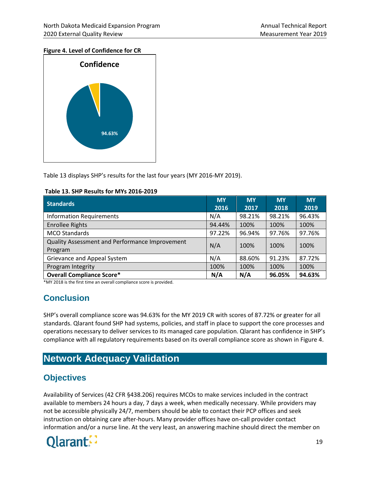#### **Figure 4. Level of Confidence for CR**



Table 13 displays SHP's results for the last four years (MY 2016-MY 2019).

| <b>Standards</b>                                          | <b>MY</b><br>2016 | <b>MY</b><br>2017 | <b>MY</b><br>2018 | <b>MY</b><br>2019 |
|-----------------------------------------------------------|-------------------|-------------------|-------------------|-------------------|
| <b>Information Requirements</b>                           | N/A               | 98.21%            | 98.21%            | 96.43%            |
| <b>Enrollee Rights</b>                                    | 94.44%            | 100%              | 100%              | 100%              |
| <b>MCO Standards</b>                                      | 97.22%            | 96.94%            | 97.76%            | 97.76%            |
| Quality Assessment and Performance Improvement<br>Program | N/A               | 100%              | 100%              | 100%              |
| Grievance and Appeal System                               | N/A               | 88.60%            | 91.23%            | 87.72%            |
| Program Integrity                                         | 100%              | 100%              | 100%              | 100%              |
| <b>Overall Compliance Score*</b>                          | N/A               | N/A               | 96.05%            | 94.63%            |

\*MY 2018 is the first time an overall compliance score is provided.

## <span id="page-25-0"></span>**Conclusion**

SHP's overall compliance score was 94.63% for the MY 2019 CR with scores of 87.72% or greater for all standards. Qlarant found SHP had systems, policies, and staff in place to support the core processes and operations necessary to deliver services to its managed care population. Qlarant has confidence in SHP's compliance with all regulatory requirements based on its overall compliance score as shown in Figure 4.

## <span id="page-25-1"></span>**Network Adequacy Validation**

## <span id="page-25-2"></span>**Objectives**

Availability of Services (42 CFR §438.206) requires MCOs to make services included in the contract available to members 24 hours a day, 7 days a week, when medically necessary. While providers may not be accessible physically 24/7, members should be able to contact their PCP offices and seek instruction on obtaining care after-hours. Many provider offices have on-call provider contact information and/or a nurse line. At the very least, an answering machine should direct the member on

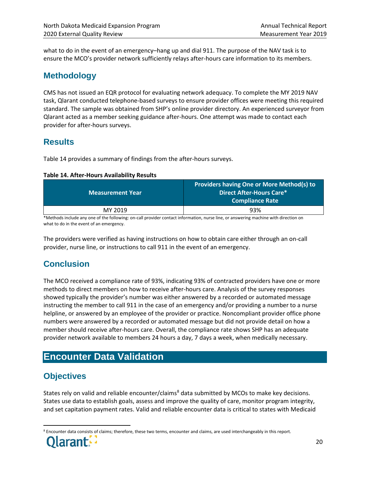what to do in the event of an emergency–hang up and dial 911. The purpose of the NAV task is to ensure the MCO's provider network sufficiently relays after-hours care information to its members.

## <span id="page-26-0"></span>**Methodology**

CMS has not issued an EQR protocol for evaluating network adequacy. To complete the MY 2019 NAV task, Qlarant conducted telephone-based surveys to ensure provider offices were meeting this required standard. The sample was obtained from SHP's online provider directory. An experienced surveyor from Qlarant acted as a member seeking guidance after-hours. One attempt was made to contact each provider for after-hours surveys.

## <span id="page-26-1"></span>**Results**

Table 14 provides a summary of findings from the after-hours surveys.

#### **Table 14. After-Hours Availability Results**

| <b>Measurement Year</b> | Providers having One or More Method(s) to<br>Direct After-Hours Care*<br>Compliance Rate |
|-------------------------|------------------------------------------------------------------------------------------|
| MY 2019                 | 93%                                                                                      |

\*Methods include any one of the following: on-call provider contact information, nurse line, or answering machine with direction on what to do in the event of an emergency.

The providers were verified as having instructions on how to obtain care either through an on-call provider, nurse line, or instructions to call 911 in the event of an emergency.

## <span id="page-26-2"></span>**Conclusion**

The MCO received a compliance rate of 93%, indicating 93% of contracted providers have one or more methods to direct members on how to receive after-hours care. Analysis of the survey responses showed typically the provider's number was either answered by a recorded or automated message instructing the member to call 911 in the case of an emergency and/or providing a number to a nurse helpline, or answered by an employee of the provider or practice. Noncompliant provider office phone numbers were answered by a recorded or automated message but did not provide detail on how a member should receive after-hours care. Overall, the compliance rate shows SHP has an adequate provider network available to members 24 hours a day, 7 days a week, when medically necessary.

## <span id="page-26-3"></span>**Encounter Data Validation**

## <span id="page-26-4"></span>**Objectives**

States rely on valid and reliable encounter/claims<sup>[8](#page-26-5)</sup> data submitted by MCOs to make key decisions. States use data to establish goals, assess and improve the quality of care, monitor program integrity, and set capitation payment rates. Valid and reliable encounter data is critical to states with Medicaid

<span id="page-26-5"></span><sup>&</sup>lt;sup>8</sup> Encounter data consists of claims; therefore, these two terms, encounter and claims, are used interchangeably in this report.

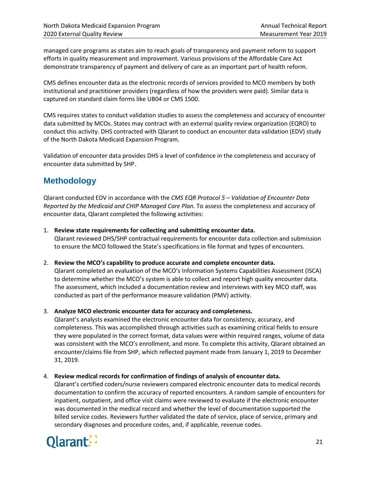managed care programs as states aim to reach goals of transparency and payment reform to support efforts in quality measurement and improvement. Various provisions of the Affordable Care Act demonstrate transparency of payment and delivery of care as an important part of health reform.

CMS defines encounter data as the electronic records of services provided to MCO members by both institutional and practitioner providers (regardless of how the providers were paid). Similar data is captured on standard claim forms like UB04 or CMS 1500.

CMS requires states to conduct validation studies to assess the completeness and accuracy of encounter data submitted by MCOs. States may contract with an external quality review organization (EQRO) to conduct this activity. DHS contracted with Qlarant to conduct an encounter data validation (EDV) study of the North Dakota Medicaid Expansion Program.

Validation of encounter data provides DHS a level of confidence in the completeness and accuracy of encounter data submitted by SHP.

## <span id="page-27-0"></span>**Methodology**

Qlarant conducted EDV in accordance with the *CMS EQR Protocol 5 – Validation of Encounter Data Reported by the Medicaid and CHIP Managed Care Plan*. To assess the completeness and accuracy of encounter data, Qlarant completed the following activities:

1. **Review state requirements for collecting and submitting encounter data.**

Qlarant reviewed DHS/SHP contractual requirements for encounter data collection and submission to ensure the MCO followed the State's specifications in file format and types of encounters.

2. **Review the MCO's capability to produce accurate and complete encounter data.**

Qlarant completed an evaluation of the MCO's Information Systems Capabilities Assessment (ISCA) to determine whether the MCO's system is able to collect and report high quality encounter data. The assessment, which included a documentation review and interviews with key MCO staff, was conducted as part of the performance measure validation (PMV) activity.

3. **Analyze MCO electronic encounter data for accuracy and completeness.** 

Qlarant's analysts examined the electronic encounter data for consistency, accuracy, and completeness. This was accomplished through activities such as examining critical fields to ensure they were populated in the correct format, data values were within required ranges, volume of data was consistent with the MCO's enrollment, and more. To complete this activity, Qlarant obtained an encounter/claims file from SHP, which reflected payment made from January 1, 2019 to December 31, 2019.

#### 4. **Review medical records for confirmation of findings of analysis of encounter data.**

Qlarant's certified coders/nurse reviewers compared electronic encounter data to medical records documentation to confirm the accuracy of reported encounters. A random sample of encounters for inpatient, outpatient, and office visit claims were reviewed to evaluate if the electronic encounter was documented in the medical record and whether the level of documentation supported the billed service codes. Reviewers further validated the date of service, place of service, primary and secondary diagnoses and procedure codes, and, if applicable, revenue codes.

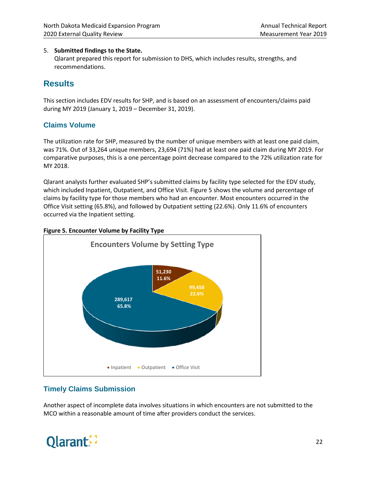#### 5. **Submitted findings to the State.**

Qlarant prepared this report for submission to DHS, which includes results, strengths, and recommendations.

## <span id="page-28-0"></span>**Results**

This section includes EDV results for SHP, and is based on an assessment of encounters/claims paid during MY 2019 (January 1, 2019 – December 31, 2019).

#### **Claims Volume**

The utilization rate for SHP, measured by the number of unique members with at least one paid claim, was 71%. Out of 33,264 unique members, 23,694 (71%) had at least one paid claim during MY 2019. For comparative purposes, this is a one percentage point decrease compared to the 72% utilization rate for MY 2018.

Qlarant analysts further evaluated SHP's submitted claims by facility type selected for the EDV study, which included Inpatient, Outpatient, and Office Visit. Figure 5 shows the volume and percentage of claims by facility type for those members who had an encounter. Most encounters occurred in the Office Visit setting (65.8%), and followed by Outpatient setting (22.6%). Only 11.6% of encounters occurred via the Inpatient setting.

#### **Figure 5. Encounter Volume by Facility Type**



#### **Timely Claims Submission**

Another aspect of incomplete data involves situations in which encounters are not submitted to the MCO within a reasonable amount of time after providers conduct the services.

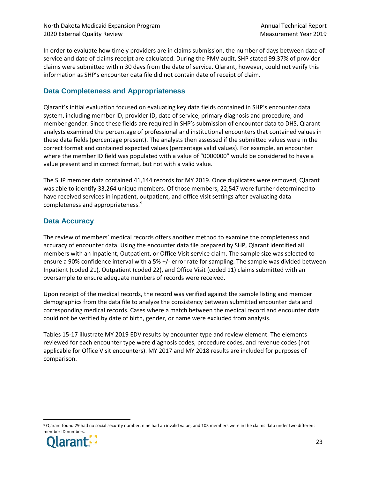In order to evaluate how timely providers are in claims submission, the number of days between date of service and date of claims receipt are calculated. During the PMV audit, SHP stated 99.37% of provider claims were submitted within 30 days from the date of service. Qlarant, however, could not verify this information as SHP's encounter data file did not contain date of receipt of claim.

#### **Data Completeness and Appropriateness**

Qlarant's initial evaluation focused on evaluating key data fields contained in SHP's encounter data system, including member ID, provider ID, date of service, primary diagnosis and procedure, and member gender. Since these fields are required in SHP's submission of encounter data to DHS, Qlarant analysts examined the percentage of professional and institutional encounters that contained values in these data fields (percentage present). The analysts then assessed if the submitted values were in the correct format and contained expected values (percentage valid values). For example, an encounter where the member ID field was populated with a value of "0000000" would be considered to have a value present and in correct format, but not with a valid value.

The SHP member data contained 41,144 records for MY 2019. Once duplicates were removed, Qlarant was able to identify 33,264 unique members. Of those members, 22,547 were further determined to have received services in inpatient, outpatient, and office visit settings after evaluating data completeness and appropriateness.[9](#page-29-0)

#### **Data Accuracy**

The review of members' medical records offers another method to examine the completeness and accuracy of encounter data. Using the encounter data file prepared by SHP, Qlarant identified all members with an Inpatient, Outpatient, or Office Visit service claim. The sample size was selected to ensure a 90% confidence interval with a 5% +/- error rate for sampling. The sample was divided between Inpatient (coded 21), Outpatient (coded 22), and Office Visit (coded 11) claims submitted with an oversample to ensure adequate numbers of records were received.

Upon receipt of the medical records, the record was verified against the sample listing and member demographics from the data file to analyze the consistency between submitted encounter data and corresponding medical records. Cases where a match between the medical record and encounter data could not be verified by date of birth, gender, or name were excluded from analysis.

Tables 15-17 illustrate MY 2019 EDV results by encounter type and review element. The elements reviewed for each encounter type were diagnosis codes, procedure codes, and revenue codes (not applicable for Office Visit encounters). MY 2017 and MY 2018 results are included for purposes of comparison.

<span id="page-29-0"></span> $9$  Qlarant found 29 had no social security number, nine had an invalid value, and 103 members were in the claims data under two different member ID numbers.

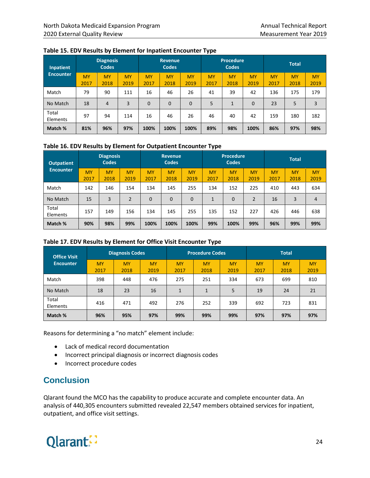| <b>Inpatient</b>  | <b>Diagnosis</b><br><b>Codes</b> |                   | <b>Revenue</b><br><b>Codes</b> |                   | <b>Procedure</b><br><b>Codes</b> |                   |                   | <b>Total</b>      |                   |                   |                   |                   |
|-------------------|----------------------------------|-------------------|--------------------------------|-------------------|----------------------------------|-------------------|-------------------|-------------------|-------------------|-------------------|-------------------|-------------------|
| <b>Encounter</b>  | <b>MY</b><br>2017                | <b>MY</b><br>2018 | <b>MY</b><br>2019              | <b>MY</b><br>2017 | <b>MY</b><br>2018                | <b>MY</b><br>2019 | <b>MY</b><br>2017 | <b>MY</b><br>2018 | <b>MY</b><br>2019 | <b>MY</b><br>2017 | <b>MY</b><br>2018 | <b>MY</b><br>2019 |
| Match             | 79                               | 90                | 111                            | 16                | 46                               | 26                | 41                | 39                | 42                | 136               | 175               | 179               |
| No Match          | 18                               | $\overline{4}$    | 3                              | $\Omega$          | 0                                | $\Omega$          | 5                 | $\mathbf{1}$      | 0                 | 23                | 5                 | 3                 |
| Total<br>Elements | 97                               | 94                | 114                            | 16                | 46                               | 26                | 46                | 40                | 42                | 159               | 180               | 182               |
| Match %           | 81%                              | 96%               | 97%                            | 100%              | 100%                             | 100%              | 89%               | 98%               | 100%              | 86%               | 97%               | 98%               |

#### **Table 15. EDV Results by Element for Inpatient Encounter Type**

#### **Table 16. EDV Results by Element for Outpatient Encounter Type**

| <b>Outpatient</b> |                   | <b>Diagnosis</b><br><b>Codes</b> |                   |                   | <b>Revenue</b><br><b>Codes</b> |                   |                   | <b>Procedure</b><br><b>Codes</b> |                   |                   | <b>Total</b>      |                   |
|-------------------|-------------------|----------------------------------|-------------------|-------------------|--------------------------------|-------------------|-------------------|----------------------------------|-------------------|-------------------|-------------------|-------------------|
| <b>Encounter</b>  | <b>MY</b><br>2017 | <b>MY</b><br>2018                | <b>MY</b><br>2019 | <b>MY</b><br>2017 | <b>MY</b><br>2018              | <b>MY</b><br>2019 | <b>MY</b><br>2017 | <b>MY</b><br>2018                | <b>MY</b><br>2019 | <b>MY</b><br>2017 | <b>MY</b><br>2018 | <b>MY</b><br>2019 |
| Match             | 142               | 146                              | 154               | 134               | 145                            | 255               | 134               | 152                              | 225               | 410               | 443               | 634               |
| No Match          | 15                | 3                                | $\overline{2}$    | $\mathbf 0$       | $\Omega$                       | 0                 | 1                 | $\Omega$                         | $\overline{2}$    | 16                | 3                 | 4                 |
| Total<br>Elements | 157               | 149                              | 156               | 134               | 145                            | 255               | 135               | 152                              | 227               | 426               | 446               | 638               |
| Match %           | 90%               | 98%                              | 99%               | 100%              | 100%                           | 100%              | 99%               | 100%                             | 99%               | 96%               | 99%               | 99%               |

#### **Table 17. EDV Results by Element for Office Visit Encounter Type**

| <b>Office Visit</b> | <b>Diagnosis Codes</b> |                   |                   |                   | <b>Procedure Codes</b> |                   | <b>Total</b>      |                   |                   |
|---------------------|------------------------|-------------------|-------------------|-------------------|------------------------|-------------------|-------------------|-------------------|-------------------|
| <b>Encounter</b>    | <b>MY</b><br>2017      | <b>MY</b><br>2018 | <b>MY</b><br>2019 | <b>MY</b><br>2017 | <b>MY</b><br>2018      | <b>MY</b><br>2019 | <b>MY</b><br>2017 | <b>MY</b><br>2018 | <b>MY</b><br>2019 |
| Match               | 398                    | 448               | 476               | 275               | 251                    | 334               | 673               | 699               | 810               |
| No Match            | 18                     | 23                | 16                | 1                 | 1                      | 5                 | 19                | 24                | 21                |
| Total<br>Elements   | 416                    | 471               | 492               | 276               | 252                    | 339               | 692               | 723               | 831               |
| Match %             | 96%                    | 95%               | 97%               | 99%               | 99%                    | 99%               | 97%               | 97%               | 97%               |

Reasons for determining a "no match" element include:

- Lack of medical record documentation
- Incorrect principal diagnosis or incorrect diagnosis codes
- Incorrect procedure codes

## <span id="page-30-0"></span>**Conclusion**

Qlarant found the MCO has the capability to produce accurate and complete encounter data. An analysis of 440,305 encounters submitted revealed 22,547 members obtained services for inpatient, outpatient, and office visit settings.

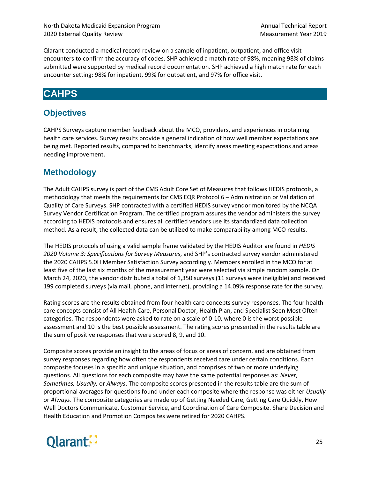Qlarant conducted a medical record review on a sample of inpatient, outpatient, and office visit encounters to confirm the accuracy of codes. SHP achieved a match rate of 98%, meaning 98% of claims submitted were supported by medical record documentation. SHP achieved a high match rate for each encounter setting: 98% for inpatient, 99% for outpatient, and 97% for office visit.

## <span id="page-31-0"></span>**CAHPS**

## <span id="page-31-1"></span>**Objectives**

CAHPS Surveys capture member feedback about the MCO, providers, and experiences in obtaining health care services. Survey results provide a general indication of how well member expectations are being met. Reported results, compared to benchmarks, identify areas meeting expectations and areas needing improvement.

## <span id="page-31-2"></span>**Methodology**

The Adult CAHPS survey is part of the CMS Adult Core Set of Measures that follows HEDIS protocols, a methodology that meets the requirements for CMS EQR Protocol 6 – Administration or Validation of Quality of Care Surveys. SHP contracted with a certified HEDIS survey vendor monitored by the NCQA Survey Vendor Certification Program. The certified program assures the vendor administers the survey according to HEDIS protocols and ensures all certified vendors use its standardized data collection method. As a result, the collected data can be utilized to make comparability among MCO results.

The HEDIS protocols of using a valid sample frame validated by the HEDIS Auditor are found in *HEDIS 2020 Volume 3: Specifications for Survey Measures*, and SHP's contracted survey vendor administered the 2020 CAHPS 5.0H Member Satisfaction Survey accordingly. Members enrolled in the MCO for at least five of the last six months of the measurement year were selected via simple random sample. On March 24, 2020, the vendor distributed a total of 1,350 surveys (11 surveys were ineligible) and received 199 completed surveys (via mail, phone, and internet), providing a 14.09% response rate for the survey.

Rating scores are the results obtained from four health care concepts survey responses. The four health care concepts consist of All Health Care, Personal Doctor, Health Plan, and Specialist Seen Most Often categories. The respondents were asked to rate on a scale of 0-10, where 0 is the worst possible assessment and 10 is the best possible assessment. The rating scores presented in the results table are the sum of positive responses that were scored 8, 9, and 10.

Composite scores provide an insight to the areas of focus or areas of concern, and are obtained from survey responses regarding how often the respondents received care under certain conditions. Each composite focuses in a specific and unique situation, and comprises of two or more underlying questions. All questions for each composite may have the same potential responses as: *Never, Sometimes, Usually,* or *Always*. The composite scores presented in the results table are the sum of proportional averages for questions found under each composite where the response was either *Usually* or *Always*. The composite categories are made up of Getting Needed Care, Getting Care Quickly, How Well Doctors Communicate, Customer Service, and Coordination of Care Composite. Share Decision and Health Education and Promotion Composites were retired for 2020 CAHPS.

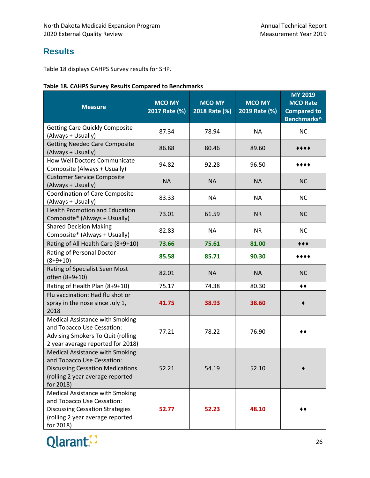## <span id="page-32-0"></span>**Results**

Table 18 displays CAHPS Survey results for SHP.

|  |  |  |  | Table 18. CAHPS Survey Results Compared to Benchmarks |
|--|--|--|--|-------------------------------------------------------|
|--|--|--|--|-------------------------------------------------------|

| <b>Measure</b>                                                                                                                                            | <b>MCO MY</b><br>2017 Rate (%) | <b>MCO MY</b><br>2018 Rate (%) | <b>MCO MY</b><br>2019 Rate (%) | <b>MY 2019</b><br><b>MCO Rate</b><br><b>Compared to</b><br>Benchmarks^ |
|-----------------------------------------------------------------------------------------------------------------------------------------------------------|--------------------------------|--------------------------------|--------------------------------|------------------------------------------------------------------------|
| <b>Getting Care Quickly Composite</b><br>(Always + Usually)                                                                                               | 87.34                          | 78.94                          | <b>NA</b>                      | <b>NC</b>                                                              |
| <b>Getting Needed Care Composite</b><br>(Always + Usually)                                                                                                | 86.88                          | 80.46                          | 89.60                          |                                                                        |
| How Well Doctors Communicate<br>Composite (Always + Usually)                                                                                              | 94.82                          | 92.28                          | 96.50                          |                                                                        |
| <b>Customer Service Composite</b><br>(Always + Usually)                                                                                                   | <b>NA</b>                      | <b>NA</b>                      | <b>NA</b>                      | <b>NC</b>                                                              |
| <b>Coordination of Care Composite</b><br>(Always + Usually)                                                                                               | 83.33                          | <b>NA</b>                      | <b>NA</b>                      | <b>NC</b>                                                              |
| <b>Health Promotion and Education</b><br>Composite* (Always + Usually)                                                                                    | 73.01                          | 61.59                          | <b>NR</b>                      | <b>NC</b>                                                              |
| <b>Shared Decision Making</b><br>Composite* (Always + Usually)                                                                                            | 82.83                          | <b>NA</b>                      | <b>NR</b>                      | <b>NC</b>                                                              |
| Rating of All Health Care (8+9+10)                                                                                                                        | 73.66                          | 75.61                          | 81.00                          | $***$                                                                  |
| Rating of Personal Doctor<br>$(8+9+10)$                                                                                                                   | 85.58                          | 85.71                          | 90.30                          | ****                                                                   |
| Rating of Specialist Seen Most<br>often (8+9+10)                                                                                                          | 82.01                          | <b>NA</b>                      | <b>NA</b>                      | <b>NC</b>                                                              |
| Rating of Health Plan (8+9+10)                                                                                                                            | 75.17                          | 74.38                          | 80.30                          | ◆◆                                                                     |
| Flu vaccination: Had flu shot or<br>spray in the nose since July 1,<br>2018                                                                               | 41.75                          | 38.93                          | 38.60                          |                                                                        |
| <b>Medical Assistance with Smoking</b><br>and Tobacco Use Cessation:<br>Advising Smokers To Quit (rolling<br>2 year average reported for 2018)            | 77.21                          | 78.22                          | 76.90                          |                                                                        |
| Medical Assistance with Smoking<br>and Tobacco Use Cessation:<br><b>Discussing Cessation Medications</b><br>(rolling 2 year average reported<br>for 2018) | 52.21                          | 54.19                          | 52.10                          |                                                                        |
| Medical Assistance with Smoking<br>and Tobacco Use Cessation:<br><b>Discussing Cessation Strategies</b><br>(rolling 2 year average reported<br>for 2018)  | 52.77                          | 52.23                          | 48.10                          |                                                                        |

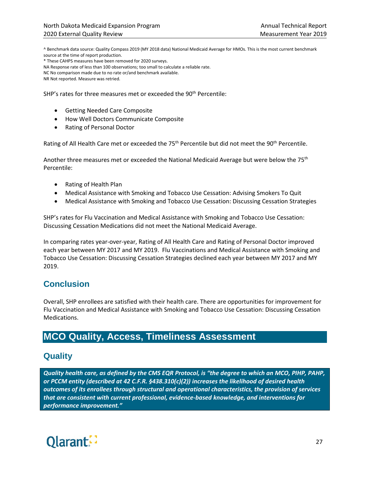^ Benchmark data source: Quality Compass 2019 (MY 2018 data) National Medicaid Average for HMOs. This is the most current benchmark source at the time of report production.

\* These CAHPS measures have been removed for 2020 surveys.

NA Response rate of less than 100 observations; too small to calculate a reliable rate.

NC No comparison made due to no rate or/and benchmark available.

NR Not reported. Measure was retried.

SHP's rates for three measures met or exceeded the 90<sup>th</sup> Percentile:

- Getting Needed Care Composite
- How Well Doctors Communicate Composite
- Rating of Personal Doctor

Rating of All Health Care met or exceeded the 75<sup>th</sup> Percentile but did not meet the 90<sup>th</sup> Percentile.

Another three measures met or exceeded the National Medicaid Average but were below the 75<sup>th</sup> Percentile:

- Rating of Health Plan
- Medical Assistance with Smoking and Tobacco Use Cessation: Advising Smokers To Quit
- Medical Assistance with Smoking and Tobacco Use Cessation: Discussing Cessation Strategies

SHP's rates for Flu Vaccination and Medical Assistance with Smoking and Tobacco Use Cessation: Discussing Cessation Medications did not meet the National Medicaid Average.

In comparing rates year-over-year, Rating of All Health Care and Rating of Personal Doctor improved each year between MY 2017 and MY 2019. Flu Vaccinations and Medical Assistance with Smoking and Tobacco Use Cessation: Discussing Cessation Strategies declined each year between MY 2017 and MY 2019.

## <span id="page-33-0"></span>**Conclusion**

Overall, SHP enrollees are satisfied with their health care. There are opportunities for improvement for Flu Vaccination and Medical Assistance with Smoking and Tobacco Use Cessation: Discussing Cessation Medications.

## <span id="page-33-1"></span>**MCO Quality, Access, Timeliness Assessment**

## <span id="page-33-2"></span>**Quality**

*Quality health care, as defined by the CMS EQR Protocol, is "the degree to which an MCO, PIHP, PAHP, or PCCM entity (described at 42 C.F.R. §438.310(c)(2)) increases the likelihood of desired health outcomes of its enrollees through structural and operational characteristics, the provision of services that are consistent with current professional, evidence-based knowledge, and interventions for performance improvement."*

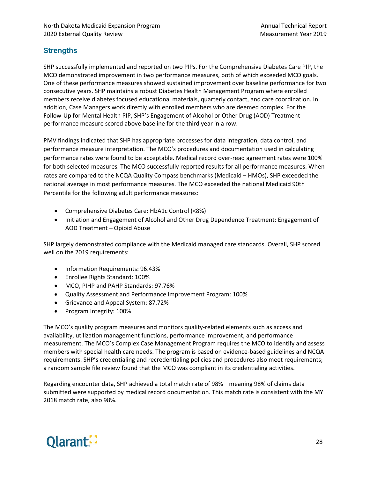#### **Strengths**

SHP successfully implemented and reported on two PIPs. For the Comprehensive Diabetes Care PIP, the MCO demonstrated improvement in two performance measures, both of which exceeded MCO goals. One of these performance measures showed sustained improvement over baseline performance for two consecutive years. SHP maintains a robust Diabetes Health Management Program where enrolled members receive diabetes focused educational materials, quarterly contact, and care coordination. In addition, Case Managers work directly with enrolled members who are deemed complex. For the Follow-Up for Mental Health PIP, SHP's Engagement of Alcohol or Other Drug (AOD) Treatment performance measure scored above baseline for the third year in a row.

PMV findings indicated that SHP has appropriate processes for data integration, data control, and performance measure interpretation. The MCO's procedures and documentation used in calculating performance rates were found to be acceptable. Medical record over-read agreement rates were 100% for both selected measures. The MCO successfully reported results for all performance measures. When rates are compared to the NCQA Quality Compass benchmarks (Medicaid – HMOs), SHP exceeded the national average in most performance measures. The MCO exceeded the national Medicaid 90th Percentile for the following adult performance measures:

- Comprehensive Diabetes Care: HbA1c Control (<8%)
- Initiation and Engagement of Alcohol and Other Drug Dependence Treatment: Engagement of AOD Treatment – Opioid Abuse

SHP largely demonstrated compliance with the Medicaid managed care standards. Overall, SHP scored well on the 2019 requirements:

- Information Requirements: 96.43%
- Enrollee Rights Standard: 100%
- MCO, PIHP and PAHP Standards: 97.76%
- Quality Assessment and Performance Improvement Program: 100%
- Grievance and Appeal System: 87.72%
- Program Integrity: 100%

The MCO's quality program measures and monitors quality-related elements such as access and availability, utilization management functions, performance improvement, and performance measurement. The MCO's Complex Case Management Program requires the MCO to identify and assess members with special health care needs. The program is based on evidence-based guidelines and NCQA requirements. SHP's credentialing and recredentialing policies and procedures also meet requirements; a random sample file review found that the MCO was compliant in its credentialing activities.

Regarding encounter data, SHP achieved a total match rate of 98%—meaning 98% of claims data submitted were supported by medical record documentation. This match rate is consistent with the MY 2018 match rate, also 98%.

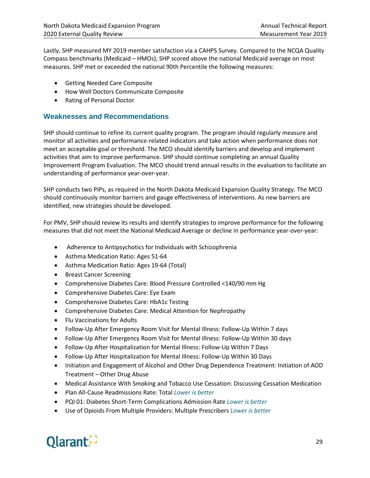Lastly, SHP measured MY 2019 member satisfaction via a CAHPS Survey. Compared to the NCQA Quality Compass benchmarks (Medicaid – HMOs), SHP scored above the national Medicaid average on most measures. SHP met or exceeded the national 90th Percentile the following measures:

- Getting Needed Care Composite
- How Well Doctors Communicate Composite
- Rating of Personal Doctor

#### **Weaknesses and Recommendations**

SHP should continue to refine its current quality program. The program should regularly measure and monitor all activities and performance-related indicators and take action when performance does not meet an acceptable goal or threshold. The MCO should identify barriers and develop and implement activities that aim to improve performance. SHP should continue completing an annual Quality Improvement Program Evaluation. The MCO should trend annual results in the evaluation to facilitate an understanding of performance year-over-year.

SHP conducts two PIPs, as required in the North Dakota Medicaid Expansion Quality Strategy. The MCO should continuously monitor barriers and gauge effectiveness of interventions. As new barriers are identified, new strategies should be developed.

For PMV, SHP should review its results and identify strategies to improve performance for the following measures that did not meet the National Medicaid Average or decline in performance year-over-year:

- Adherence to Antipsychotics for Individuals with Schizophrenia
- Asthma Medication Ratio: Ages 51-64
- Asthma Medication Ratio: Ages 19-64 (Total)
- Breast Cancer Screening
- Comprehensive Diabetes Care: Blood Pressure Controlled <140/90 mm Hg
- Comprehensive Diabetes Care: Eye Exam
- Comprehensive Diabetes Care: HbA1c Testing
- Comprehensive Diabetes Care: Medical Attention for Nephropathy
- Flu Vaccinations for Adults
- Follow-Up After Emergency Room Visit for Mental Illness: Follow-Up Within 7 days
- Follow-Up After Emergency Room Visit for Mental Illness: Follow-Up Within 30 days
- Follow-Up After Hospitalization for Mental Illness: Follow-Up Within 7 Days
- Follow-Up After Hospitalization for Mental Illness: Follow-Up Within 30 Days
- Initiation and Engagement of Alcohol and Other Drug Dependence Treatment: Initiation of AOD Treatment – Other Drug Abuse
- Medical Assistance With Smoking and Tobacco Use Cessation: Discussing Cessation Medication
- Plan All-Cause Readmissions Rate: Total *Lower is better*
- PQI 01: Diabetes Short-Term Complications Admission Rate *Lower is better*
- Use of Opioids From Multiple Providers: Multiple Prescribers *Lower is better*

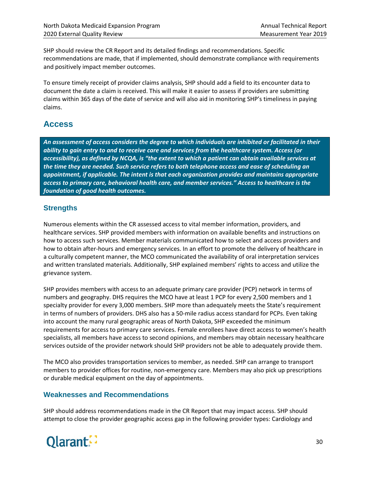SHP should review the CR Report and its detailed findings and recommendations. Specific recommendations are made, that if implemented, should demonstrate compliance with requirements and positively impact member outcomes.

To ensure timely receipt of provider claims analysis, SHP should add a field to its encounter data to document the date a claim is received. This will make it easier to assess if providers are submitting claims within 365 days of the date of service and will also aid in monitoring SHP's timeliness in paying claims.

## <span id="page-36-0"></span>**Access**

*An assessment of access considers the degree to which individuals are inhibited or facilitated in their ability to gain entry to and to receive care and services from the healthcare system. Access (or accessibility), as defined by NCQA, is "the extent to which a patient can obtain available services at the time they are needed. Such service refers to both telephone access and ease of scheduling an appointment, if applicable. The intent is that each organization provides and maintains appropriate access to primary care, behavioral health care, and member services." Access to healthcare is the foundation of good health outcomes.*

#### **Strengths**

Numerous elements within the CR assessed access to vital member information, providers, and healthcare services. SHP provided members with information on available benefits and instructions on how to access such services. Member materials communicated how to select and access providers and how to obtain after-hours and emergency services. In an effort to promote the delivery of healthcare in a culturally competent manner, the MCO communicated the availability of oral interpretation services and written translated materials. Additionally, SHP explained members' rights to access and utilize the grievance system.

SHP provides members with access to an adequate primary care provider (PCP) network in terms of numbers and geography. DHS requires the MCO have at least 1 PCP for every 2,500 members and 1 specialty provider for every 3,000 members. SHP more than adequately meets the State's requirement in terms of numbers of providers. DHS also has a 50-mile radius access standard for PCPs. Even taking into account the many rural geographic areas of North Dakota, SHP exceeded the minimum requirements for access to primary care services. Female enrollees have direct access to women's health specialists, all members have access to second opinions, and members may obtain necessary healthcare services outside of the provider network should SHP providers not be able to adequately provide them.

The MCO also provides transportation services to member, as needed. SHP can arrange to transport members to provider offices for routine, non-emergency care. Members may also pick up prescriptions or durable medical equipment on the day of appointments.

#### **Weaknesses and Recommendations**

SHP should address recommendations made in the CR Report that may impact access. SHP should attempt to close the provider geographic access gap in the following provider types: Cardiology and

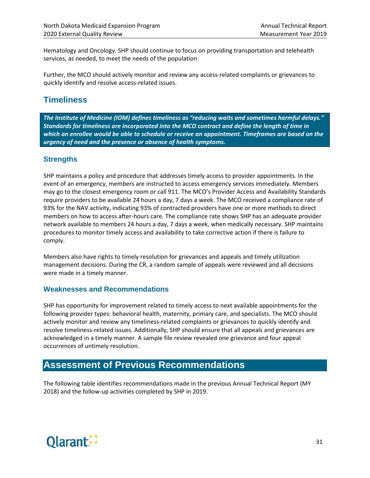Hematology and Oncology. SHP should continue to focus on providing transportation and telehealth services, as needed, to meet the needs of the population.

Further, the MCO should actively monitor and review any access-related complaints or grievances to quickly identify and resolve access-related issues.

## <span id="page-37-0"></span>**Timeliness**

*The Institute of Medicine (IOM) defines timeliness as "reducing waits and sometimes harmful delays." Standards for timeliness are incorporated into the MCO contract and define the length of time in which an enrollee would be able to schedule or receive an appointment. Timeframes are based on the urgency of need and the presence or absence of health symptoms.*

#### **Strengths**

SHP maintains a policy and procedure that addresses timely access to provider appointments. In the event of an emergency, members are instructed to access emergency services immediately. Members may go to the closest emergency room or call 911. The MCO's Provider Access and Availability Standards require providers to be available 24 hours a day, 7 days a week. The MCO received a compliance rate of 93% for the NAV activity, indicating 93% of contracted providers have one or more methods to direct members on how to access after-hours care. The compliance rate shows SHP has an adequate provider network available to members 24 hours a day, 7 days a week, when medically necessary. SHP maintains procedures to monitor timely access and availability to take corrective action if there is failure to comply.

Members also have rights to timely resolution for grievances and appeals and timely utilization management decisions. During the CR, a random sample of appeals were reviewed and all decisions were made in a timely manner.

#### **Weaknesses and Recommendations**

SHP has opportunity for improvement related to timely access to next available appointments for the following provider types: behavioral health, maternity, primary care, and specialists. The MCO should actively monitor and review any timeliness-related complaints or grievances to quickly identify and resolve timeliness-related issues. Additionally, SHP should ensure that all appeals and grievances are acknowledged in a timely manner. A sample file review revealed one grievance and four appeal occurrences of untimely resolution.

## <span id="page-37-1"></span>**Assessment of Previous Recommendations**

The following table identifies recommendations made in the previous Annual Technical Report (MY 2018) and the follow-up activities completed by SHP in 2019.

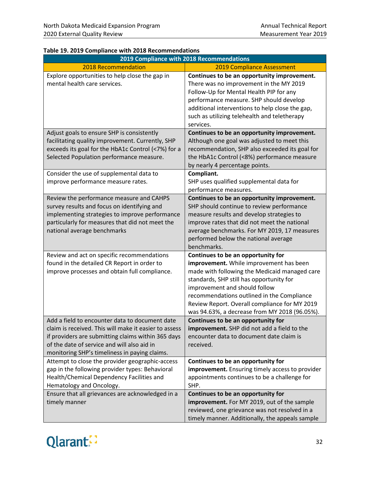|                                                                                                                                                                                                                                                               | 2019 Compliance with 2018 Recommendations                                                                                                                                                                                                                                                                                                                   |
|---------------------------------------------------------------------------------------------------------------------------------------------------------------------------------------------------------------------------------------------------------------|-------------------------------------------------------------------------------------------------------------------------------------------------------------------------------------------------------------------------------------------------------------------------------------------------------------------------------------------------------------|
| 2018 Recommendation                                                                                                                                                                                                                                           | <b>2019 Compliance Assessment</b>                                                                                                                                                                                                                                                                                                                           |
| Explore opportunities to help close the gap in<br>mental health care services.                                                                                                                                                                                | Continues to be an opportunity improvement.<br>There was no improvement in the MY 2019<br>Follow-Up for Mental Health PIP for any<br>performance measure. SHP should develop<br>additional interventions to help close the gap,<br>such as utilizing telehealth and teletherapy<br>services.                                                                |
| Adjust goals to ensure SHP is consistently<br>facilitating quality improvement. Currently, SHP<br>exceeds its goal for the HbA1c Control (<7%) for a<br>Selected Population performance measure.                                                              | Continues to be an opportunity improvement.<br>Although one goal was adjusted to meet this<br>recommendation, SHP also exceeded its goal for<br>the HbA1c Control (<8%) performance measure<br>by nearly 4 percentage points.                                                                                                                               |
| Consider the use of supplemental data to<br>improve performance measure rates.                                                                                                                                                                                | Compliant.<br>SHP uses qualified supplemental data for<br>performance measures.                                                                                                                                                                                                                                                                             |
| Review the performance measure and CAHPS<br>survey results and focus on identifying and<br>implementing strategies to improve performance<br>particularly for measures that did not meet the<br>national average benchmarks                                   | Continues to be an opportunity improvement.<br>SHP should continue to review performance<br>measure results and develop strategies to<br>improve rates that did not meet the national<br>average benchmarks. For MY 2019, 17 measures<br>performed below the national average<br>benchmarks.                                                                |
| Review and act on specific recommendations<br>found in the detailed CR Report in order to<br>improve processes and obtain full compliance.                                                                                                                    | Continues to be an opportunity for<br>improvement. While improvement has been<br>made with following the Medicaid managed care<br>standards, SHP still has opportunity for<br>improvement and should follow<br>recommendations outlined in the Compliance<br>Review Report. Overall compliance for MY 2019<br>was 94.63%, a decrease from MY 2018 (96.05%). |
| Add a field to encounter data to document date<br>claim is received. This will make it easier to assess<br>if providers are submitting claims within 365 days<br>of the date of service and will also aid in<br>monitoring SHP's timeliness in paying claims. | Continues to be an opportunity for<br>improvement. SHP did not add a field to the<br>encounter data to document date claim is<br>received.                                                                                                                                                                                                                  |
| Attempt to close the provider geographic-access<br>gap in the following provider types: Behavioral<br>Health/Chemical Dependency Facilities and<br>Hematology and Oncology.                                                                                   | Continues to be an opportunity for<br>improvement. Ensuring timely access to provider<br>appointments continues to be a challenge for<br>SHP.                                                                                                                                                                                                               |
| Ensure that all grievances are acknowledged in a<br>timely manner                                                                                                                                                                                             | Continues to be an opportunity for<br>improvement. For MY 2019, out of the sample<br>reviewed, one grievance was not resolved in a<br>timely manner. Additionally, the appeals sample                                                                                                                                                                       |

#### **Table 19. 2019 Compliance with 2018 Recommendations**